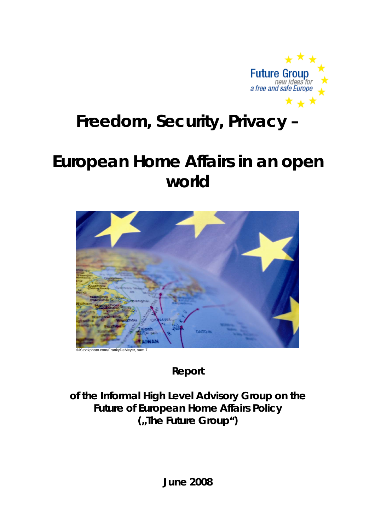

# **Freedom, Security, Privacy –**

# **European Home Affairs in an open world**



**Report** 

**of the Informal High Level Advisory Group on the Future of European Home Affairs Policy ("The Future Group")**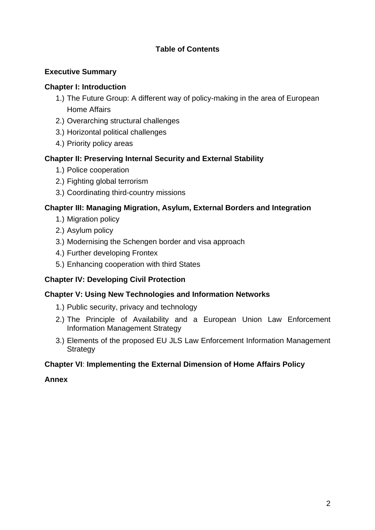# **Table of Contents**

## **Executive Summary**

## **Chapter I: Introduction**

- 1.) The Future Group: A different way of policy-making in the area of European Home Affairs
- 2.) Overarching structural challenges
- 3.) Horizontal political challenges
- 4.) Priority policy areas

# **Chapter II: Preserving Internal Security and External Stability**

- 1.) Police cooperation
- 2.) Fighting global terrorism
- 3.) Coordinating third-country missions

# **Chapter III: Managing Migration, Asylum, External Borders and Integration**

- 1.) Migration policy
- 2.) Asylum policy
- 3.) Modernising the Schengen border and visa approach
- 4.) Further developing Frontex
- 5.) Enhancing cooperation with third States

# **Chapter IV: Developing Civil Protection**

## **Chapter V: Using New Technologies and Information Networks**

- 1.) Public security, privacy and technology
- 2.) The Principle of Availability and a European Union Law Enforcement Information Management Strategy
- 3.) Elements of the proposed EU JLS Law Enforcement Information Management **Strategy**

## **Chapter VI**: **Implementing the External Dimension of Home Affairs Policy**

**Annex**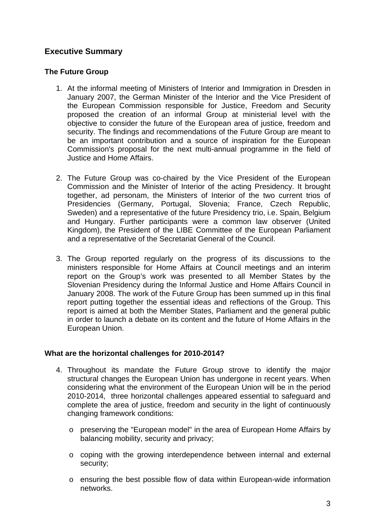# **Executive Summary**

#### **The Future Group**

- 1. At the informal meeting of Ministers of Interior and Immigration in Dresden in January 2007, the German Minister of the Interior and the Vice President of the European Commission responsible for Justice, Freedom and Security proposed the creation of an informal Group at ministerial level with the objective to consider the future of the European area of justice, freedom and security. The findings and recommendations of the Future Group are meant to be an important contribution and a source of inspiration for the European Commission's proposal for the next multi-annual programme in the field of Justice and Home Affairs.
- 2. The Future Group was co-chaired by the Vice President of the European Commission and the Minister of Interior of the acting Presidency. It brought together, ad personam, the Ministers of Interior of the two current trios of Presidencies (Germany, Portugal, Slovenia; France, Czech Republic, Sweden) and a representative of the future Presidency trio, i.e. Spain, Belgium and Hungary. Further participants were a common law observer (United Kingdom), the President of the LIBE Committee of the European Parliament and a representative of the Secretariat General of the Council.
- 3. The Group reported regularly on the progress of its discussions to the ministers responsible for Home Affairs at Council meetings and an interim report on the Group's work was presented to all Member States by the Slovenian Presidency during the Informal Justice and Home Affairs Council in January 2008. The work of the Future Group has been summed up in this final report putting together the essential ideas and reflections of the Group. This report is aimed at both the Member States, Parliament and the general public in order to launch a debate on its content and the future of Home Affairs in the European Union.

## **What are the horizontal challenges for 2010-2014?**

- 4. Throughout its mandate the Future Group strove to identify the major structural changes the European Union has undergone in recent years. When considering what the environment of the European Union will be in the period 2010-2014, three horizontal challenges appeared essential to safeguard and complete the area of justice, freedom and security in the light of continuously changing framework conditions:
	- o preserving the "European model" in the area of European Home Affairs by balancing mobility, security and privacy;
	- o coping with the growing interdependence between internal and external security;
	- o ensuring the best possible flow of data within European-wide information networks.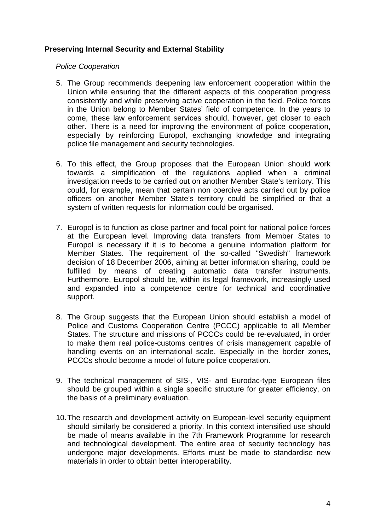#### **Preserving Internal Security and External Stability**

#### *Police Cooperation*

- 5. The Group recommends deepening law enforcement cooperation within the Union while ensuring that the different aspects of this cooperation progress consistently and while preserving active cooperation in the field. Police forces in the Union belong to Member States' field of competence. In the years to come, these law enforcement services should, however, get closer to each other. There is a need for improving the environment of police cooperation, especially by reinforcing Europol, exchanging knowledge and integrating police file management and security technologies.
- 6. To this effect, the Group proposes that the European Union should work towards a simplification of the regulations applied when a criminal investigation needs to be carried out on another Member State's territory. This could, for example, mean that certain non coercive acts carried out by police officers on another Member State's territory could be simplified or that a system of written requests for information could be organised.
- 7. Europol is to function as close partner and focal point for national police forces at the European level. Improving data transfers from Member States to Europol is necessary if it is to become a genuine information platform for Member States. The requirement of the so-called "Swedish" framework decision of 18 December 2006, aiming at better information sharing, could be fulfilled by means of creating automatic data transfer instruments. Furthermore, Europol should be, within its legal framework, increasingly used and expanded into a competence centre for technical and coordinative support.
- 8. The Group suggests that the European Union should establish a model of Police and Customs Cooperation Centre (PCCC) applicable to all Member States. The structure and missions of PCCCs could be re-evaluated, in order to make them real police-customs centres of crisis management capable of handling events on an international scale. Especially in the border zones, PCCCs should become a model of future police cooperation.
- 9. The technical management of SIS-, VIS- and Eurodac-type European files should be grouped within a single specific structure for greater efficiency, on the basis of a preliminary evaluation.
- 10. The research and development activity on European-level security equipment should similarly be considered a priority. In this context intensified use should be made of means available in the [7th Framework Programme](http://ec.europa.eu/research/fp7/) for research and technological development. The entire area of security technology has undergone major developments. Efforts must be made to standardise new materials in order to obtain better interoperability.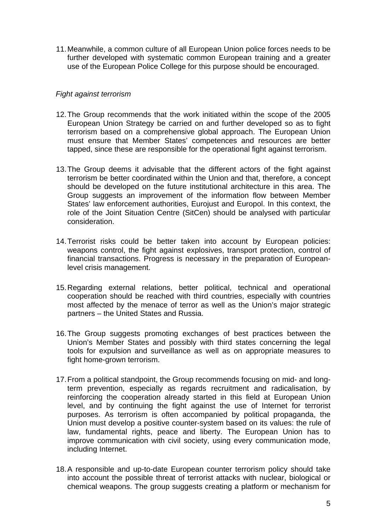11. Meanwhile, a common culture of all European Union police forces needs to be further developed with systematic common European training and a greater use of the European Police College for this purpose should be encouraged.

#### *Fight against terrorism*

- 12. The Group recommends that the work initiated within the scope of the 2005 European Union Strategy be carried on and further developed so as to fight terrorism based on a comprehensive global approach. The European Union must ensure that Member States' competences and resources are better tapped, since these are responsible for the operational fight against terrorism.
- 13. The Group deems it advisable that the different actors of the fight against terrorism be better coordinated within the Union and that, therefore, a concept should be developed on the future institutional architecture in this area. The Group suggests an improvement of the information flow between Member States' law enforcement authorities, Eurojust and Europol. In this context, the role of the Joint Situation Centre (SitCen) should be analysed with particular consideration.
- 14. Terrorist risks could be better taken into account by European policies: weapons control, the fight against explosives, transport protection, control of financial transactions. Progress is necessary in the preparation of Europeanlevel crisis management.
- 15. Regarding external relations, better political, technical and operational cooperation should be reached with third countries, especially with countries most affected by the menace of terror as well as the Union's major strategic partners – the United States and Russia.
- 16. The Group suggests promoting exchanges of best practices between the Union's Member States and possibly with third states concerning the legal tools for expulsion and surveillance as well as on appropriate measures to fight home-grown terrorism.
- 17. From a political standpoint, the Group recommends focusing on mid- and longterm prevention, especially as regards recruitment and radicalisation, by reinforcing the cooperation already started in this field at European Union level, and by continuing the fight against the use of Internet for terrorist purposes. As terrorism is often accompanied by political propaganda, the Union must develop a positive counter-system based on its values: the rule of law, fundamental rights, peace and liberty. The European Union has to improve communication with civil society, using every communication mode, including Internet.
- 18. A responsible and up-to-date European counter terrorism policy should take into account the possible threat of terrorist attacks with nuclear, biological or chemical weapons. The group suggests creating a platform or mechanism for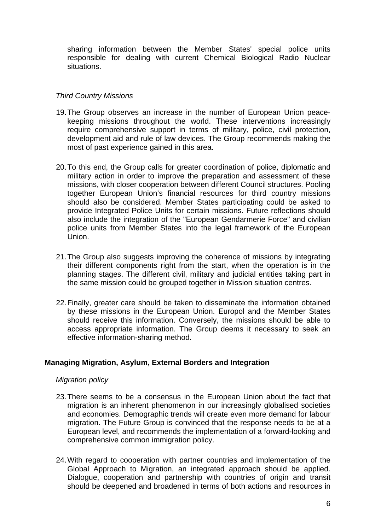sharing information between the Member States' special police units responsible for dealing with current Chemical Biological Radio Nuclear situations.

#### *Third Country Missions*

- 19. The Group observes an increase in the number of European Union peacekeeping missions throughout the world. These interventions increasingly require comprehensive support in terms of military, police, civil protection, development aid and rule of law devices. The Group recommends making the most of past experience gained in this area.
- 20. To this end, the Group calls for greater coordination of police, diplomatic and military action in order to improve the preparation and assessment of these missions, with closer cooperation between different Council structures. Pooling together European Union's financial resources for third country missions should also be considered. Member States participating could be asked to provide Integrated Police Units for certain missions. Future reflections should also include the integration of the "European Gendarmerie Force" and civilian police units from Member States into the legal framework of the European Union.
- 21. The Group also suggests improving the coherence of missions by integrating their different components right from the start, when the operation is in the planning stages. The different civil, military and judicial entities taking part in the same mission could be grouped together in Mission situation centres.
- 22. Finally, greater care should be taken to disseminate the information obtained by these missions in the European Union. Europol and the Member States should receive this information. Conversely, the missions should be able to access appropriate information. The Group deems it necessary to seek an effective information-sharing method.

#### **Managing Migration, Asylum, External Borders and Integration**

#### *Migration policy*

- 23. There seems to be a consensus in the European Union about the fact that migration is an inherent phenomenon in our increasingly globalised societies and economies. Demographic trends will create even more demand for labour migration. The Future Group is convinced that the response needs to be at a European level, and recommends the implementation of a forward-looking and comprehensive common immigration policy.
- 24. With regard to cooperation with partner countries and implementation of the Global Approach to Migration, an integrated approach should be applied. Dialogue, cooperation and partnership with countries of origin and transit should be deepened and broadened in terms of both actions and resources in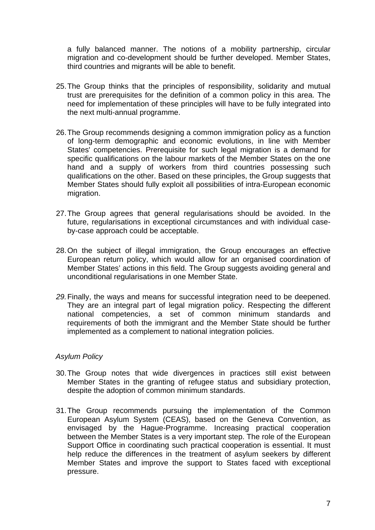a fully balanced manner. The notions of a mobility partnership, circular migration and co-development should be further developed. Member States, third countries and migrants will be able to benefit.

- 25. The Group thinks that the principles of responsibility, solidarity and mutual trust are prerequisites for the definition of a common policy in this area. The need for implementation of these principles will have to be fully integrated into the next multi-annual programme.
- 26. The Group recommends designing a common immigration policy as a function of long-term demographic and economic evolutions, in line with Member States' competencies. Prerequisite for such legal migration is a demand for specific qualifications on the labour markets of the Member States on the one hand and a supply of workers from third countries possessing such qualifications on the other. Based on these principles, the Group suggests that Member States should fully exploit all possibilities of intra-European economic migration.
- 27. The Group agrees that general regularisations should be avoided. In the future, regularisations in exceptional circumstances and with individual caseby-case approach could be acceptable.
- 28. On the subject of illegal immigration, the Group encourages an effective European return policy, which would allow for an organised coordination of Member States' actions in this field. The Group suggests avoiding general and unconditional regularisations in one Member State.
- 29. Finally, the ways and means for successful integration need to be deepened. They are an integral part of legal migration policy. Respecting the different national competencies, a set of common minimum standards and requirements of both the immigrant and the Member State should be further implemented as a complement to national integration policies.

#### *Asylum Policy*

- 30. The Group notes that wide divergences in practices still exist between Member States in the granting of refugee status and subsidiary protection, despite the adoption of common minimum standards.
- 31. The Group recommends pursuing the implementation of the Common European Asylum System (CEAS), based on the Geneva Convention, as envisaged by the Hague-Programme. Increasing practical cooperation between the Member States is a very important step. The role of the European Support Office in coordinating such practical cooperation is essential. It must help reduce the differences in the treatment of asylum seekers by different Member States and improve the support to States faced with exceptional pressure.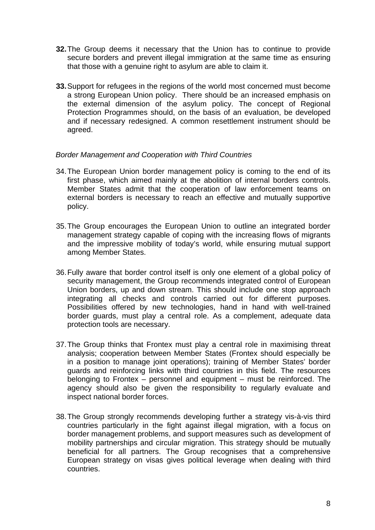- **32.** The Group deems it necessary that the Union has to continue to provide secure borders and prevent illegal immigration at the same time as ensuring that those with a genuine right to asylum are able to claim it.
- **33.** Support for refugees in the regions of the world most concerned must become a strong European Union policy. There should be an increased emphasis on the external dimension of the asylum policy. The concept of Regional Protection Programmes should, on the basis of an evaluation, be developed and if necessary redesigned. A common resettlement instrument should be agreed.

#### *Border Management and Cooperation with Third Countries*

- 34. The European Union border management policy is coming to the end of its first phase, which aimed mainly at the abolition of internal borders controls. Member States admit that the cooperation of law enforcement teams on external borders is necessary to reach an effective and mutually supportive policy.
- 35. The Group encourages the European Union to outline an integrated border management strategy capable of coping with the increasing flows of migrants and the impressive mobility of today's world, while ensuring mutual support among Member States.
- 36. Fully aware that border control itself is only one element of a global policy of security management, the Group recommends integrated control of European Union borders, up and down stream. This should include one stop approach integrating all checks and controls carried out for different purposes. Possibilities offered by new technologies, hand in hand with well-trained border guards, must play a central role. As a complement, adequate data protection tools are necessary.
- 37. The Group thinks that Frontex must play a central role in maximising threat analysis; cooperation between Member States (Frontex should especially be in a position to manage joint operations); training of Member States' border guards and reinforcing links with third countries in this field. The resources belonging to Frontex – personnel and equipment – must be reinforced. The agency should also be given the responsibility to regularly evaluate and inspect national border forces.
- 38. The Group strongly recommends developing further a strategy vis-à-vis third countries particularly in the fight against illegal migration, with a focus on border management problems, and support measures such as development of mobility partnerships and circular migration. This strategy should be mutually beneficial for all partners. The Group recognises that a comprehensive European strategy on visas gives political leverage when dealing with third countries.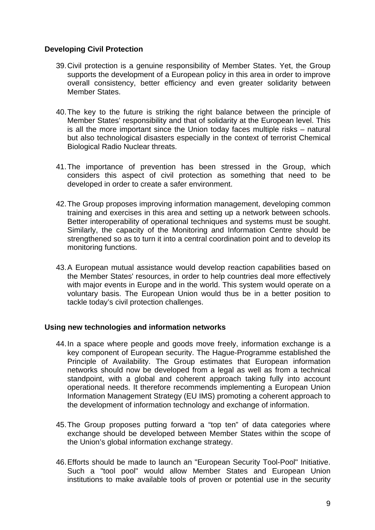#### **Developing Civil Protection**

- 39. Civil protection is a genuine responsibility of Member States. Yet, the Group supports the development of a European policy in this area in order to improve overall consistency, better efficiency and even greater solidarity between Member States.
- 40. The key to the future is striking the right balance between the principle of Member States' responsibility and that of solidarity at the European level. This is all the more important since the Union today faces multiple risks – natural but also technological disasters especially in the context of terrorist Chemical Biological Radio Nuclear threats.
- 41. The importance of prevention has been stressed in the Group, which considers this aspect of civil protection as something that need to be developed in order to create a safer environment.
- 42. The Group proposes improving information management, developing common training and exercises in this area and setting up a network between schools. Better interoperability of operational techniques and systems must be sought. Similarly, the capacity of the Monitoring and Information Centre should be strengthened so as to turn it into a central coordination point and to develop its monitoring functions.
- 43. A European mutual assistance would develop reaction capabilities based on the Member States' resources, in order to help countries deal more effectively with major events in Europe and in the world. This system would operate on a voluntary basis. The European Union would thus be in a better position to tackle today's civil protection challenges.

#### **Using new technologies and information networks**

- 44. In a space where people and goods move freely, information exchange is a key component of European security. The Hague-Programme established the Principle of Availability. The Group estimates that European information networks should now be developed from a legal as well as from a technical standpoint, with a global and coherent approach taking fully into account operational needs. It therefore recommends implementing a European Union Information Management Strategy (EU IMS) promoting a coherent approach to the development of information technology and exchange of information.
- 45. The Group proposes putting forward a "top ten" of data categories where exchange should be developed between Member States within the scope of the Union's global information exchange strategy.
- 46. Efforts should be made to launch an "European Security Tool-Pool" Initiative. Such a "tool pool" would allow Member States and European Union institutions to make available tools of proven or potential use in the security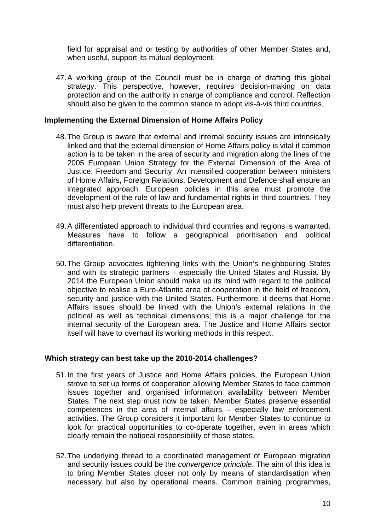field for appraisal and or testing by authorities of other Member States and, when useful, support its mutual deployment.

47. A working group of the Council must be in charge of drafting this global strategy. This perspective, however, requires decision-making on data protection and on the authority in charge of compliance and control. Reflection should also be given to the common stance to adopt vis-à-vis third countries.

#### **Implementing the External Dimension of Home Affairs Policy**

- 48. The Group is aware that external and internal security issues are intrinsically linked and that the external dimension of Home Affairs policy is vital if common action is to be taken in the area of security and migration along the lines of the 2005 European Union Strategy for the External Dimension of the Area of Justice, Freedom and Security. An intensified cooperation between ministers of Home Affairs, Foreign Relations, Development and Defence shall ensure an integrated approach. European policies in this area must promote the development of the rule of law and fundamental rights in third countries. They must also help prevent threats to the European area.
- 49. A differentiated approach to individual third countries and regions is warranted. Measures have to follow a geographical prioritisation and political differentiation.
- 50. The Group advocates tightening links with the Union's neighbouring States and with its strategic partners – especially the United States and Russia. By 2014 the European Union should make up its mind with regard to the political objective to realise a Euro-Atlantic area of cooperation in the field of freedom, security and justice with the United States. Furthermore, it deems that Home Affairs issues should be linked with the Union's external relations in the political as well as technical dimensions; this is a major challenge for the internal security of the European area. The Justice and Home Affairs sector itself will have to overhaul its working methods in this respect.

#### **Which strategy can best take up the 2010-2014 challenges?**

- 51. In the first years of Justice and Home Affairs policies, the European Union strove to set up forms of cooperation allowing Member States to face common issues together and organised information availability between Member States. The next step must now be taken. Member States preserve essential competences in the area of internal affairs – especially law enforcement activities. The Group considers it important for Member States to continue to look for practical opportunities to co-operate together, even in areas which clearly remain the national responsibility of those states.
- 52. The underlying thread to a coordinated management of European migration and security issues could be the *convergence principle*. The aim of this idea is to bring Member States closer not only by means of standardisation when necessary but also by operational means. Common training programmes,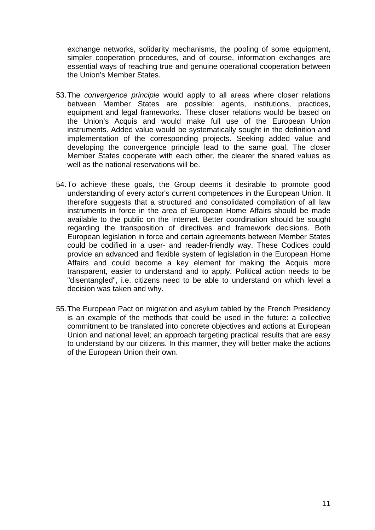exchange networks, solidarity mechanisms, the pooling of some equipment, simpler cooperation procedures, and of course, information exchanges are essential ways of reaching true and genuine operational cooperation between the Union's Member States.

- 53. The *convergence principle* would apply to all areas where closer relations between Member States are possible: agents, institutions, practices, equipment and legal frameworks. These closer relations would be based on the Union's Acquis and would make full use of the European Union instruments. Added value would be systematically sought in the definition and implementation of the corresponding projects. Seeking added value and developing the convergence principle lead to the same goal. The closer Member States cooperate with each other, the clearer the shared values as well as the national reservations will be.
- 54. To achieve these goals, the Group deems it desirable to promote good understanding of every actor's current competences in the European Union. It therefore suggests that a structured and consolidated compilation of all law instruments in force in the area of European Home Affairs should be made available to the public on the Internet. Better coordination should be sought regarding the transposition of directives and framework decisions. Both European legislation in force and certain agreements between Member States could be codified in a user- and reader-friendly way. These Codices could provide an advanced and flexible system of legislation in the European Home Affairs and could become a key element for making the Acquis more transparent, easier to understand and to apply. Political action needs to be "disentangled", i.e. citizens need to be able to understand on which level a decision was taken and why.
- 55. The European Pact on migration and asylum tabled by the French Presidency is an example of the methods that could be used in the future: a collective commitment to be translated into concrete objectives and actions at European Union and national level; an approach targeting practical results that are easy to understand by our citizens. In this manner, they will better make the actions of the European Union their own.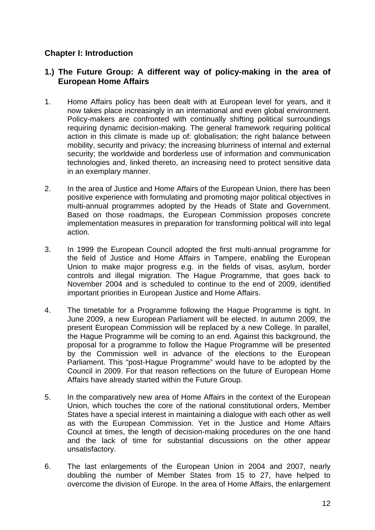# **Chapter I: Introduction**

# **1.) The Future Group: A different way of policy-making in the area of European Home Affairs**

- 1. Home Affairs policy has been dealt with at European level for years, and it now takes place increasingly in an international and even global environment. Policy-makers are confronted with continually shifting political surroundings requiring dynamic decision-making. The general framework requiring political action in this climate is made up of: globalisation; the right balance between mobility, security and privacy; the increasing blurriness of internal and external security; the worldwide and borderless use of information and communication technologies and, linked thereto, an increasing need to protect sensitive data in an exemplary manner.
- 2. In the area of Justice and Home Affairs of the European Union, there has been positive experience with formulating and promoting major political objectives in multi-annual programmes adopted by the Heads of State and Government. Based on those roadmaps, the European Commission proposes concrete implementation measures in preparation for transforming political will into legal action.
- 3. In 1999 the European Council adopted the first multi-annual programme for the field of Justice and Home Affairs in Tampere, enabling the European Union to make major progress e.g. in the fields of visas, asylum, border controls and illegal migration. The Hague Programme, that goes back to November 2004 and is scheduled to continue to the end of 2009, identified important priorities in European Justice and Home Affairs.
- 4. The timetable for a Programme following the Hague Programme is tight. In June 2009, a new European Parliament will be elected. In autumn 2009, the present European Commission will be replaced by a new College. In parallel, the Hague Programme will be coming to an end. Against this background, the proposal for a programme to follow the Hague Programme will be presented by the Commission well in advance of the elections to the European Parliament. This "post-Hague Programme" would have to be adopted by the Council in 2009. For that reason reflections on the future of European Home Affairs have already started within the Future Group.
- 5. In the comparatively new area of Home Affairs in the context of the European Union, which touches the core of the national constitutional orders, Member States have a special interest in maintaining a dialogue with each other as well as with the European Commission. Yet in the Justice and Home Affairs Council at times, the length of decision-making procedures on the one hand and the lack of time for substantial discussions on the other appear unsatisfactory.
- 6. The last enlargements of the European Union in 2004 and 2007, nearly doubling the number of Member States from 15 to 27, have helped to overcome the division of Europe. In the area of Home Affairs, the enlargement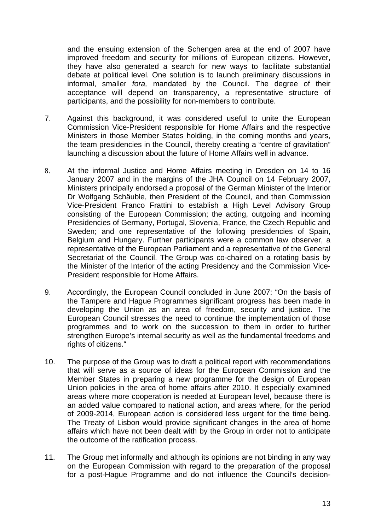and the ensuing extension of the Schengen area at the end of 2007 have improved freedom and security for millions of European citizens. However, they have also generated a search for new ways to facilitate substantial debate at political level. One solution is to launch preliminary discussions in informal, smaller *fora,* mandated by the Council. The degree of their acceptance will depend on transparency, a representative structure of participants, and the possibility for non-members to contribute.

- 7. Against this background, it was considered useful to unite the European Commission Vice-President responsible for Home Affairs and the respective Ministers in those Member States holding, in the coming months and years, the team presidencies in the Council, thereby creating a "centre of gravitation" launching a discussion about the future of Home Affairs well in advance.
- 8. At the informal Justice and Home Affairs meeting in Dresden on 14 to 16 January 2007 and in the margins of the JHA Council on 14 February 2007, Ministers principally endorsed a proposal of the German Minister of the Interior Dr Wolfgang Schäuble, then President of the Council, and then Commission Vice-President Franco Frattini to establish a High Level Advisory Group consisting of the European Commission; the acting, outgoing and incoming Presidencies of Germany, Portugal, Slovenia, France, the Czech Republic and Sweden; and one representative of the following presidencies of Spain, Belgium and Hungary. Further participants were a common law observer, a representative of the European Parliament and a representative of the General Secretariat of the Council. The Group was co-chaired on a rotating basis by the Minister of the Interior of the acting Presidency and the Commission Vice-President responsible for Home Affairs.
- 9. Accordingly, the European Council concluded in June 2007: "On the basis of the Tampere and Hague Programmes significant progress has been made in developing the Union as an area of freedom, security and justice. The European Council stresses the need to continue the implementation of those programmes and to work on the succession to them in order to further strengthen Europe's internal security as well as the fundamental freedoms and rights of citizens."
- 10. The purpose of the Group was to draft a political report with recommendations that will serve as a source of ideas for the European Commission and the Member States in preparing a new programme for the design of European Union policies in the area of home affairs after 2010. It especially examined areas where more cooperation is needed at European level, because there is an added value compared to national action, and areas where, for the period of 2009-2014, European action is considered less urgent for the time being. The Treaty of Lisbon would provide significant changes in the area of home affairs which have not been dealt with by the Group in order not to anticipate the outcome of the ratification process.
- 11. The Group met informally and although its opinions are not binding in any way on the European Commission with regard to the preparation of the proposal for a post-Hague Programme and do not influence the Council's decision-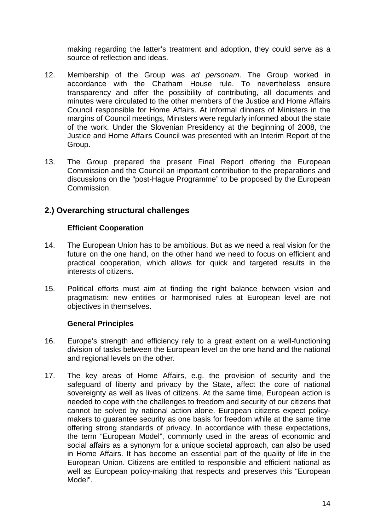making regarding the latter's treatment and adoption, they could serve as a source of reflection and ideas.

- 12. Membership of the Group was *ad personam*. The Group worked in accordance with the Chatham House rule. To nevertheless ensure transparency and offer the possibility of contributing, all documents and minutes were circulated to the other members of the Justice and Home Affairs Council responsible for Home Affairs. At informal dinners of Ministers in the margins of Council meetings, Ministers were regularly informed about the state of the work. Under the Slovenian Presidency at the beginning of 2008, the Justice and Home Affairs Council was presented with an Interim Report of the Group.
- 13. The Group prepared the present Final Report offering the European Commission and the Council an important contribution to the preparations and discussions on the "post-Hague Programme" to be proposed by the European Commission.

# **2.) Overarching structural challenges**

#### **Efficient Cooperation**

- 14. The European Union has to be ambitious. But as we need a real vision for the future on the one hand, on the other hand we need to focus on efficient and practical cooperation, which allows for quick and targeted results in the interests of citizens.
- 15. Political efforts must aim at finding the right balance between vision and pragmatism: new entities or harmonised rules at European level are not objectives in themselves.

#### **General Principles**

- 16. Europe's strength and efficiency rely to a great extent on a well-functioning division of tasks between the European level on the one hand and the national and regional levels on the other.
- 17. The key areas of Home Affairs, e.g. the provision of security and the safeguard of liberty and privacy by the State, affect the core of national sovereignty as well as lives of citizens. At the same time, European action is needed to cope with the challenges to freedom and security of our citizens that cannot be solved by national action alone. European citizens expect policymakers to guarantee security as one basis for freedom while at the same time offering strong standards of privacy. In accordance with these expectations, the term "European Model", commonly used in the areas of economic and social affairs as a synonym for a unique societal approach, can also be used in Home Affairs. It has become an essential part of the quality of life in the European Union. Citizens are entitled to responsible and efficient national as well as European policy-making that respects and preserves this "European Model".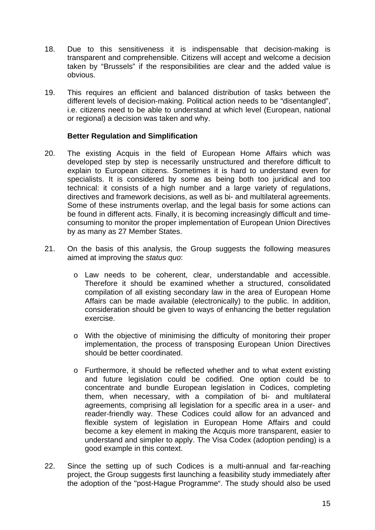- 18. Due to this sensitiveness it is indispensable that decision-making is transparent and comprehensible. Citizens will accept and welcome a decision taken by "Brussels" if the responsibilities are clear and the added value is obvious.
- 19. This requires an efficient and balanced distribution of tasks between the different levels of decision-making. Political action needs to be "disentangled", i.e. citizens need to be able to understand at which level (European, national or regional) a decision was taken and why.

#### **Better Regulation and Simplification**

- 20. The existing Acquis in the field of European Home Affairs which was developed step by step is necessarily unstructured and therefore difficult to explain to European citizens. Sometimes it is hard to understand even for specialists. It is considered by some as being both too juridical and too technical: it consists of a high number and a large variety of regulations, directives and framework decisions, as well as bi- and multilateral agreements. Some of these instruments overlap, and the legal basis for some actions can be found in different acts. Finally, it is becoming increasingly difficult and timeconsuming to monitor the proper implementation of European Union Directives by as many as 27 Member States.
- 21. On the basis of this analysis, the Group suggests the following measures aimed at improving the *status quo*:
	- o Law needs to be coherent, clear, understandable and accessible. Therefore it should be examined whether a structured, consolidated compilation of all existing secondary law in the area of European Home Affairs can be made available (electronically) to the public. In addition, consideration should be given to ways of enhancing the better regulation exercise.
	- o With the objective of minimising the difficulty of monitoring their proper implementation, the process of transposing European Union Directives should be better coordinated.
	- o Furthermore, it should be reflected whether and to what extent existing and future legislation could be codified. One option could be to concentrate and bundle European legislation in Codices, completing them, when necessary, with a compilation of bi- and multilateral agreements, comprising all legislation for a specific area in a user- and reader-friendly way. These Codices could allow for an advanced and flexible system of legislation in European Home Affairs and could become a key element in making the Acquis more transparent, easier to understand and simpler to apply. The Visa Codex (adoption pending) is a good example in this context.
- 22. Since the setting up of such Codices is a multi-annual and far-reaching project, the Group suggests first launching a feasibility study immediately after the adoption of the "post-Hague Programme". The study should also be used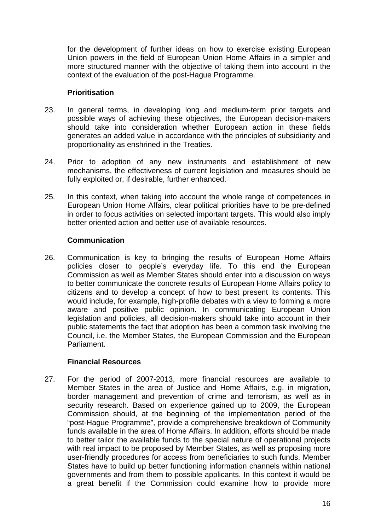for the development of further ideas on how to exercise existing European Union powers in the field of European Union Home Affairs in a simpler and more structured manner with the objective of taking them into account in the context of the evaluation of the post-Hague Programme.

#### **Prioritisation**

- 23. In general terms, in developing long and medium-term prior targets and possible ways of achieving these objectives, the European decision-makers should take into consideration whether European action in these fields generates an added value in accordance with the principles of subsidiarity and proportionality as enshrined in the Treaties.
- 24. Prior to adoption of any new instruments and establishment of new mechanisms, the effectiveness of current legislation and measures should be fully exploited or, if desirable, further enhanced.
- 25. In this context, when taking into account the whole range of competences in European Union Home Affairs, clear political priorities have to be pre-defined in order to focus activities on selected important targets. This would also imply better oriented action and better use of available resources.

## **Communication**

26. Communication is key to bringing the results of European Home Affairs policies closer to people's everyday life. To this end the European Commission as well as Member States should enter into a discussion on ways to better communicate the concrete results of European Home Affairs policy to citizens and to develop a concept of how to best present its contents. This would include, for example, high-profile debates with a view to forming a more aware and positive public opinion. In communicating European Union legislation and policies, all decision-makers should take into account in their public statements the fact that adoption has been a common task involving the Council, i.e. the Member States, the European Commission and the European Parliament.

## **Financial Resources**

27. For the period of 2007-2013, more financial resources are available to Member States in the area of Justice and Home Affairs, e.g. in migration, border management and prevention of crime and terrorism, as well as in security research. Based on experience gained up to 2009, the European Commission should, at the beginning of the implementation period of the "post-Hague Programme", provide a comprehensive breakdown of Community funds available in the area of Home Affairs. In addition, efforts should be made to better tailor the available funds to the special nature of operational projects with real impact to be proposed by Member States, as well as proposing more user-friendly procedures for access from beneficiaries to such funds. Member States have to build up better functioning information channels within national governments and from them to possible applicants. In this context it would be a great benefit if the Commission could examine how to provide more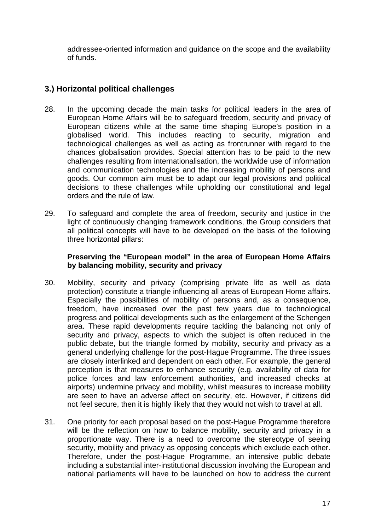addressee-oriented information and guidance on the scope and the availability of funds.

# **3.) Horizontal political challenges**

- 28. In the upcoming decade the main tasks for political leaders in the area of European Home Affairs will be to safeguard freedom, security and privacy of European citizens while at the same time shaping Europe's position in a globalised world. This includes reacting to security, migration and technological challenges as well as acting as frontrunner with regard to the chances globalisation provides. Special attention has to be paid to the new challenges resulting from internationalisation, the worldwide use of information and communication technologies and the increasing mobility of persons and goods. Our common aim must be to adapt our legal provisions and political decisions to these challenges while upholding our constitutional and legal orders and the rule of law.
- 29. To safeguard and complete the area of freedom, security and justice in the light of continuously changing framework conditions, the Group considers that all political concepts will have to be developed on the basis of the following three horizontal pillars:

#### **Preserving the "European model" in the area of European Home Affairs by balancing mobility, security and privacy**

- 30. Mobility, security and privacy (comprising private life as well as data protection) constitute a triangle influencing all areas of European Home affairs. Especially the possibilities of mobility of persons and, as a consequence, freedom, have increased over the past few years due to technological progress and political developments such as the enlargement of the Schengen area. These rapid developments require tackling the balancing not only of security and privacy, aspects to which the subject is often reduced in the public debate, but the triangle formed by mobility, security and privacy as a general underlying challenge for the post-Hague Programme. The three issues are closely interlinked and dependent on each other. For example, the general perception is that measures to enhance security (e.g. availability of data for police forces and law enforcement authorities, and increased checks at airports) undermine privacy and mobility, whilst measures to increase mobility are seen to have an adverse affect on security, etc. However, if citizens did not feel secure, then it is highly likely that they would not wish to travel at all.
- 31. One priority for each proposal based on the post-Hague Programme therefore will be the reflection on how to balance mobility, security and privacy in a proportionate way. There is a need to overcome the stereotype of seeing security, mobility and privacy as opposing concepts which exclude each other. Therefore, under the post-Hague Programme, an intensive public debate including a substantial inter-institutional discussion involving the European and national parliaments will have to be launched on how to address the current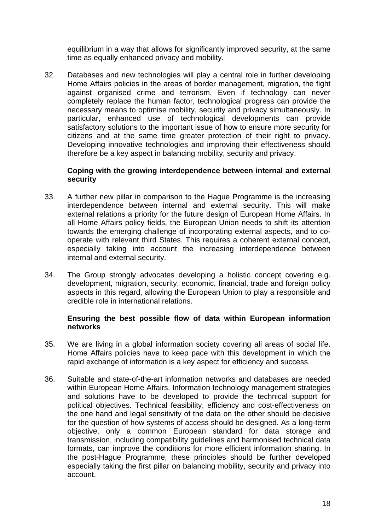equilibrium in a way that allows for significantly improved security, at the same time as equally enhanced privacy and mobility.

32. Databases and new technologies will play a central role in further developing Home Affairs policies in the areas of border management, migration, the fight against organised crime and terrorism. Even if technology can never completely replace the human factor, technological progress can provide the necessary means to optimise mobility, security and privacy simultaneously. In particular, enhanced use of technological developments can provide satisfactory solutions to the important issue of how to ensure more security for citizens and at the same time greater protection of their right to privacy. Developing innovative technologies and improving their effectiveness should therefore be a key aspect in balancing mobility, security and privacy.

#### **Coping with the growing interdependence between internal and external security**

- 33. A further new pillar in comparison to the Hague Programme is the increasing interdependence between internal and external security. This will make external relations a priority for the future design of European Home Affairs. In all Home Affairs policy fields, the European Union needs to shift its attention towards the emerging challenge of incorporating external aspects, and to cooperate with relevant third States. This requires a coherent external concept, especially taking into account the increasing interdependence between internal and external security.
- 34. The Group strongly advocates developing a holistic concept covering e.g. development, migration, security, economic, financial, trade and foreign policy aspects in this regard, allowing the European Union to play a responsible and credible role in international relations.

#### **Ensuring the best possible flow of data within European information networks**

- 35. We are living in a global information society covering all areas of social life. Home Affairs policies have to keep pace with this development in which the rapid exchange of information is a key aspect for efficiency and success.
- 36. Suitable and state-of-the-art information networks and databases are needed within European Home Affairs. Information technology management strategies and solutions have to be developed to provide the technical support for political objectives. Technical feasibility, efficiency and cost-effectiveness on the one hand and legal sensitivity of the data on the other should be decisive for the question of how systems of access should be designed. As a long-term objective, only a common European standard for data storage and transmission, including compatibility guidelines and harmonised technical data formats, can improve the conditions for more efficient information sharing. In the post-Hague Programme, these principles should be further developed especially taking the first pillar on balancing mobility, security and privacy into account.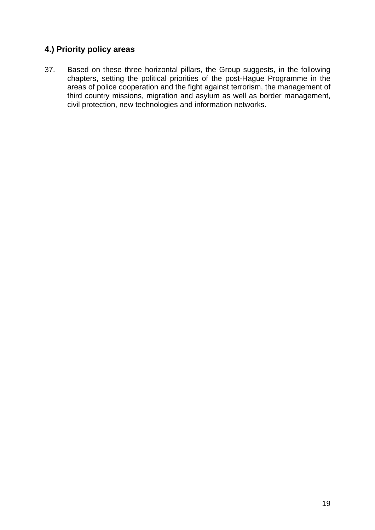# **4.) Priority policy areas**

37. Based on these three horizontal pillars, the Group suggests, in the following chapters, setting the political priorities of the post-Hague Programme in the areas of police cooperation and the fight against terrorism, the management of third country missions, migration and asylum as well as border management, civil protection, new technologies and information networks.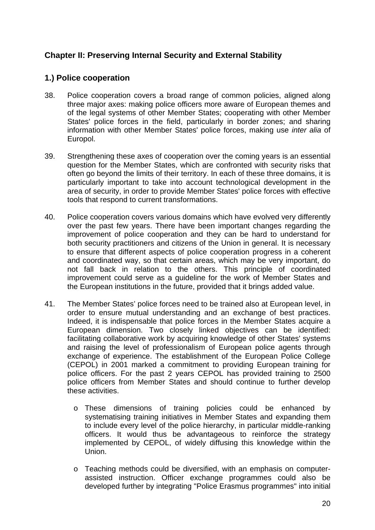# **Chapter II: Preserving Internal Security and External Stability**

# **1.) Police cooperation**

- 38. Police cooperation covers a broad range of common policies, aligned along three major axes: making police officers more aware of European themes and of the legal systems of other Member States; cooperating with other Member States' police forces in the field, particularly in border zones; and sharing information with other Member States' police forces, making use *inter alia* of Europol.
- 39. Strengthening these axes of cooperation over the coming years is an essential question for the Member States, which are confronted with security risks that often go beyond the limits of their territory. In each of these three domains, it is particularly important to take into account technological development in the area of security, in order to provide Member States' police forces with effective tools that respond to current transformations.
- 40. Police cooperation covers various domains which have evolved very differently over the past few years. There have been important changes regarding the improvement of police cooperation and they can be hard to understand for both security practitioners and citizens of the Union in general. It is necessary to ensure that different aspects of police cooperation progress in a coherent and coordinated way, so that certain areas, which may be very important, do not fall back in relation to the others. This principle of coordinated improvement could serve as a guideline for the work of Member States and the European institutions in the future, provided that it brings added value.
- 41. The Member States' police forces need to be trained also at European level, in order to ensure mutual understanding and an exchange of best practices. Indeed, it is indispensable that police forces in the Member States acquire a European dimension. Two closely linked objectives can be identified: facilitating collaborative work by acquiring knowledge of other States' systems and raising the level of professionalism of European police agents through exchange of experience. The establishment of the European Police College (CEPOL) in 2001 marked a commitment to providing European training for police officers. For the past 2 years CEPOL has provided training to 2500 police officers from Member States and should continue to further develop these activities.
	- o These dimensions of training policies could be enhanced by systematising training initiatives in Member States and expanding them to include every level of the police hierarchy, in particular middle-ranking officers. It would thus be advantageous to reinforce the strategy implemented by CEPOL, of widely diffusing this knowledge within the Union.
	- o Teaching methods could be diversified, with an emphasis on computerassisted instruction. Officer exchange programmes could also be developed further by integrating "Police Erasmus programmes" into initial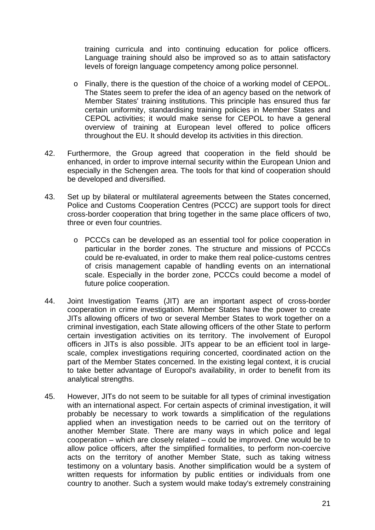training curricula and into continuing education for police officers. Language training should also be improved so as to attain satisfactory levels of foreign language competency among police personnel.

- o Finally, there is the question of the choice of a working model of CEPOL. The States seem to prefer the idea of an agency based on the network of Member States' training institutions. This principle has ensured thus far certain uniformity, standardising training policies in Member States and CEPOL activities; it would make sense for CEPOL to have a general overview of training at European level offered to police officers throughout the EU. It should develop its activities in this direction.
- 42. Furthermore, the Group agreed that cooperation in the field should be enhanced, in order to improve internal security within the European Union and especially in the Schengen area. The tools for that kind of cooperation should be developed and diversified.
- 43. Set up by bilateral or multilateral agreements between the States concerned, Police and Customs Cooperation Centres (PCCC) are support tools for direct cross-border cooperation that bring together in the same place officers of two, three or even four countries.
	- o PCCCs can be developed as an essential tool for police cooperation in particular in the border zones. The structure and missions of PCCCs could be re-evaluated, in order to make them real police-customs centres of crisis management capable of handling events on an international scale. Especially in the border zone, PCCCs could become a model of future police cooperation.
- 44. Joint Investigation Teams (JIT) are an important aspect of cross-border cooperation in crime investigation. Member States have the power to create JITs allowing officers of two or several Member States to work together on a criminal investigation, each State allowing officers of the other State to perform certain investigation activities on its territory. The involvement of Europol officers in JITs is also possible. JITs appear to be an efficient tool in largescale, complex investigations requiring concerted, coordinated action on the part of the Member States concerned. In the existing legal context, it is crucial to take better advantage of Europol's availability, in order to benefit from its analytical strengths.
- 45. However, JITs do not seem to be suitable for all types of criminal investigation with an international aspect. For certain aspects of criminal investigation, it will probably be necessary to work towards a simplification of the regulations applied when an investigation needs to be carried out on the territory of another Member State. There are many ways in which police and legal cooperation – which are closely related – could be improved. One would be to allow police officers, after the simplified formalities, to perform non-coercive acts on the territory of another Member State, such as taking witness testimony on a voluntary basis. Another simplification would be a system of written requests for information by public entities or individuals from one country to another. Such a system would make today's extremely constraining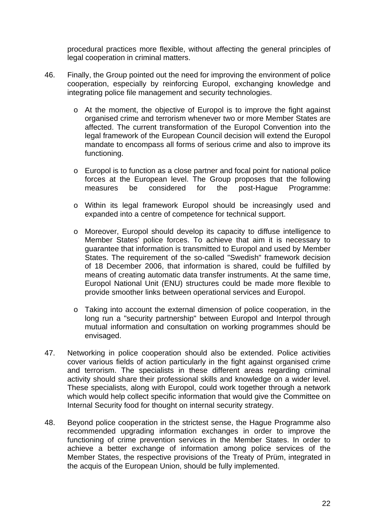procedural practices more flexible, without affecting the general principles of legal cooperation in criminal matters.

- 46. Finally, the Group pointed out the need for improving the environment of police cooperation, especially by reinforcing Europol, exchanging knowledge and integrating police file management and security technologies.
	- o At the moment, the objective of Europol is to improve the fight against organised crime and terrorism whenever two or more Member States are affected. The current transformation of the Europol Convention into the legal framework of the European Council decision will extend the Europol mandate to encompass all forms of serious crime and also to improve its functioning.
	- o Europol is to function as a close partner and focal point for national police forces at the European level. The Group proposes that the following measures be considered for the post-Hague Programme:
	- o Within its legal framework Europol should be increasingly used and expanded into a centre of competence for technical support.
	- o Moreover, Europol should develop its capacity to diffuse intelligence to Member States' police forces. To achieve that aim it is necessary to guarantee that information is transmitted to Europol and used by Member States. The requirement of the so-called "Swedish" framework decision of 18 December 2006, that information is shared, could be fulfilled by means of creating automatic data transfer instruments. At the same time, Europol National Unit (ENU) structures could be made more flexible to provide smoother links between operational services and Europol.
	- o Taking into account the external dimension of police cooperation, in the long run a "security partnership" between Europol and Interpol through mutual information and consultation on working programmes should be envisaged.
- 47. Networking in police cooperation should also be extended. Police activities cover various fields of action particularly in the fight against organised crime and terrorism. The specialists in these different areas regarding criminal activity should share their professional skills and knowledge on a wider level. These specialists, along with Europol, could work together through a network which would help collect specific information that would give the Committee on Internal Security food for thought on internal security strategy.
- 48. Beyond police cooperation in the strictest sense, the Hague Programme also recommended upgrading information exchanges in order to improve the functioning of crime prevention services in the Member States. In order to achieve a better exchange of information among police services of the Member States, the respective provisions of the Treaty of Prüm, integrated in the acquis of the European Union, should be fully implemented.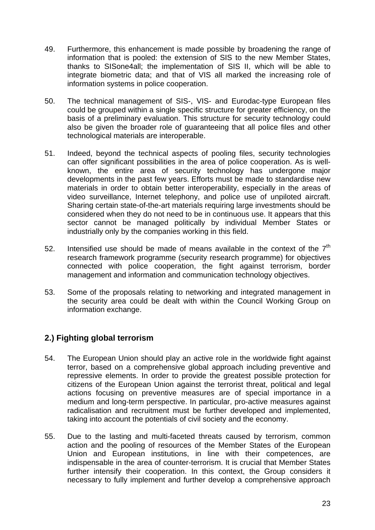- 49. Furthermore, this enhancement is made possible by broadening the range of information that is pooled: the extension of SIS to the new Member States, thanks to SISone4all; the implementation of SIS II, which will be able to integrate biometric data; and that of VIS all marked the increasing role of information systems in police cooperation.
- 50. The technical management of SIS-, VIS- and Eurodac-type European files could be grouped within a single specific structure for greater efficiency, on the basis of a preliminary evaluation. This structure for security technology could also be given the broader role of guaranteeing that all police files and other technological materials are interoperable.
- 51. Indeed, beyond the technical aspects of pooling files, security technologies can offer significant possibilities in the area of police cooperation. As is wellknown, the entire area of security technology has undergone major developments in the past few years. Efforts must be made to standardise new materials in order to obtain better interoperability, especially in the areas of video surveillance, Internet telephony, and police use of unpiloted aircraft. Sharing certain state-of-the-art materials requiring large investments should be considered when they do not need to be in continuous use. It appears that this sector cannot be managed politically by individual Member States or industrially only by the companies working in this field.
- 52. Intensified use should be made of means available in the context of the  $7<sup>th</sup>$ research framework programme (security research programme) for objectives connected with police cooperation, the fight against terrorism, border management and information and communication technology objectives.
- 53. Some of the proposals relating to networking and integrated management in the security area could be dealt with within the Council Working Group on information exchange.

# **2.) Fighting global terrorism**

- 54. The European Union should play an active role in the worldwide fight against terror, based on a comprehensive global approach including preventive and repressive elements. In order to provide the greatest possible protection for citizens of the European Union against the terrorist threat, political and legal actions focusing on preventive measures are of special importance in a medium and long-term perspective. In particular, pro-active measures against radicalisation and recruitment must be further developed and implemented, taking into account the potentials of civil society and the economy.
- 55. Due to the lasting and multi-faceted threats caused by terrorism, common action and the pooling of resources of the Member States of the European Union and European institutions, in line with their competences, are indispensable in the area of counter-terrorism. It is crucial that Member States further intensify their cooperation. In this context, the Group considers it necessary to fully implement and further develop a comprehensive approach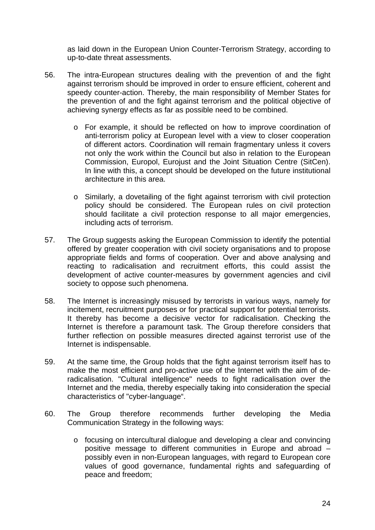as laid down in the European Union Counter-Terrorism Strategy, according to up-to-date threat assessments.

- 56. The intra-European structures dealing with the prevention of and the fight against terrorism should be improved in order to ensure efficient, coherent and speedy counter-action. Thereby, the main responsibility of Member States for the prevention of and the fight against terrorism and the political objective of achieving synergy effects as far as possible need to be combined.
	- o For example, it should be reflected on how to improve coordination of anti-terrorism policy at European level with a view to closer cooperation of different actors. Coordination will remain fragmentary unless it covers not only the work within the Council but also in relation to the European Commission, Europol, Eurojust and the Joint Situation Centre (SitCen). In line with this, a concept should be developed on the future institutional architecture in this area.
	- o Similarly, a dovetailing of the fight against terrorism with civil protection policy should be considered. The European rules on civil protection should facilitate a civil protection response to all major emergencies, including acts of terrorism.
- 57. The Group suggests asking the European Commission to identify the potential offered by greater cooperation with civil society organisations and to propose appropriate fields and forms of cooperation. Over and above analysing and reacting to radicalisation and recruitment efforts, this could assist the development of active counter-measures by government agencies and civil society to oppose such phenomena.
- 58. The Internet is increasingly misused by terrorists in various ways, namely for incitement, recruitment purposes or for practical support for potential terrorists. It thereby has become a decisive vector for radicalisation. Checking the Internet is therefore a paramount task. The Group therefore considers that further reflection on possible measures directed against terrorist use of the Internet is indispensable.
- 59. At the same time, the Group holds that the fight against terrorism itself has to make the most efficient and pro-active use of the Internet with the aim of deradicalisation. "Cultural intelligence" needs to fight radicalisation over the Internet and the media, thereby especially taking into consideration the special characteristics of "cyber-language".
- 60. The Group therefore recommends further developing the Media Communication Strategy in the following ways:
	- o focusing on intercultural dialogue and developing a clear and convincing positive message to different communities in Europe and abroad – possibly even in non-European languages, with regard to European core values of good governance, fundamental rights and safeguarding of peace and freedom;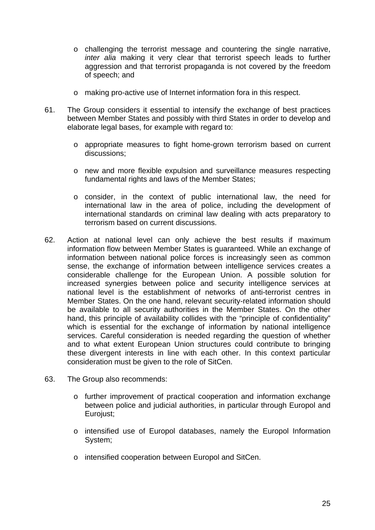- o challenging the terrorist message and countering the single narrative, *inter alia* making it very clear that terrorist speech leads to further aggression and that terrorist propaganda is not covered by the freedom of speech; and
- o making pro-active use of Internet information fora in this respect.
- 61. The Group considers it essential to intensify the exchange of best practices between Member States and possibly with third States in order to develop and elaborate legal bases, for example with regard to:
	- o appropriate measures to fight home-grown terrorism based on current discussions;
	- o new and more flexible expulsion and surveillance measures respecting fundamental rights and laws of the Member States;
	- o consider, in the context of public international law, the need for international law in the area of police, including the development of international standards on criminal law dealing with acts preparatory to terrorism based on current discussions.
- 62. Action at national level can only achieve the best results if maximum information flow between Member States is guaranteed. While an exchange of information between national police forces is increasingly seen as common sense, the exchange of information between intelligence services creates a considerable challenge for the European Union. A possible solution for increased synergies between police and security intelligence services at national level is the establishment of networks of anti-terrorist centres in Member States. On the one hand, relevant security-related information should be available to all security authorities in the Member States. On the other hand, this principle of availability collides with the "principle of confidentiality" which is essential for the exchange of information by national intelligence services. Careful consideration is needed regarding the question of whether and to what extent European Union structures could contribute to bringing these divergent interests in line with each other. In this context particular consideration must be given to the role of SitCen.
- 63. The Group also recommends:
	- o further improvement of practical cooperation and information exchange between police and judicial authorities, in particular through Europol and Euroiust:
	- o intensified use of Europol databases, namely the Europol Information System;
	- o intensified cooperation between Europol and SitCen.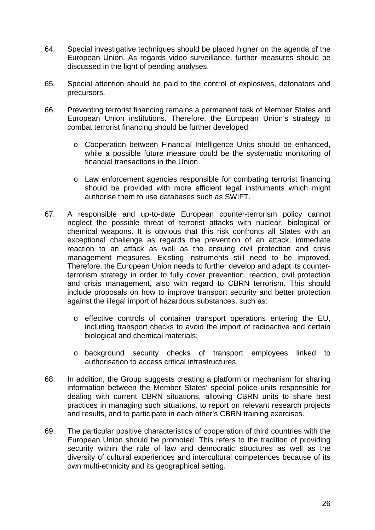- 64. Special investigative techniques should be placed higher on the agenda of the European Union. As regards video surveillance, further measures should be discussed in the light of pending analyses.
- 65. Special attention should be paid to the control of explosives, detonators and precursors.
- 66. Preventing terrorist financing remains a permanent task of Member States and European Union institutions. Therefore, the European Union's strategy to combat terrorist financing should be further developed.
	- o Cooperation between Financial Intelligence Units should be enhanced, while a possible future measure could be the systematic monitoring of financial transactions in the Union.
	- o Law enforcement agencies responsible for combating terrorist financing should be provided with more efficient legal instruments which might authorise them to use databases such as SWIFT.
- 67. A responsible and up-to-date European counter-terrorism policy cannot neglect the possible threat of terrorist attacks with nuclear, biological or chemical weapons. It is obvious that this risk confronts all States with an exceptional challenge as regards the prevention of an attack, immediate reaction to an attack as well as the ensuing civil protection and crisis management measures. Existing instruments still need to be improved. Therefore, the European Union needs to further develop and adapt its counterterrorism strategy in order to fully cover prevention, reaction, civil protection and crisis management, also with regard to CBRN terrorism. This should include proposals on how to improve transport security and better protection against the illegal import of hazardous substances, such as:
	- o effective controls of container transport operations entering the EU, including transport checks to avoid the import of radioactive and certain biological and chemical materials;
	- o background security checks of transport employees linked to authorisation to access critical infrastructures.
- 68. In addition, the Group suggests creating a platform or mechanism for sharing information between the Member States' special police units responsible for dealing with current CBRN situations, allowing CBRN units to share best practices in managing such situations, to report on relevant research projects and results, and to participate in each other's CBRN training exercises.
- 69. The particular positive characteristics of cooperation of third countries with the European Union should be promoted. This refers to the tradition of providing security within the rule of law and democratic structures as well as the diversity of cultural experiences and intercultural competences because of its own multi-ethnicity and its geographical setting.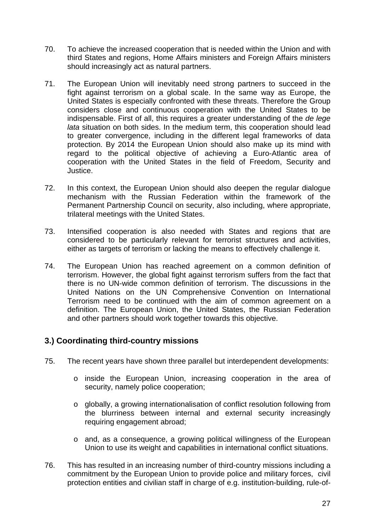- 70. To achieve the increased cooperation that is needed within the Union and with third States and regions, Home Affairs ministers and Foreign Affairs ministers should increasingly act as natural partners.
- 71. The European Union will inevitably need strong partners to succeed in the fight against terrorism on a global scale. In the same way as Europe, the United States is especially confronted with these threats. Therefore the Group considers close and continuous cooperation with the United States to be indispensable. First of all, this requires a greater understanding of the *de lege lata* situation on both sides. In the medium term, this cooperation should lead to greater convergence, including in the different legal frameworks of data protection. By 2014 the European Union should also make up its mind with regard to the political objective of achieving a Euro-Atlantic area of cooperation with the United States in the field of Freedom, Security and Justice.
- 72. In this context, the European Union should also deepen the regular dialogue mechanism with the Russian Federation within the framework of the Permanent Partnership Council on security, also including, where appropriate, trilateral meetings with the United States.
- 73. Intensified cooperation is also needed with States and regions that are considered to be particularly relevant for terrorist structures and activities, either as targets of terrorism or lacking the means to effectively challenge it.
- 74. The European Union has reached agreement on a common definition of terrorism. However, the global fight against terrorism suffers from the fact that there is no UN-wide common definition of terrorism. The discussions in the United Nations on the UN Comprehensive Convention on International Terrorism need to be continued with the aim of common agreement on a definition. The European Union, the United States, the Russian Federation and other partners should work together towards this objective.

# **3.) Coordinating third-country missions**

- 75. The recent years have shown three parallel but interdependent developments:
	- o inside the European Union, increasing cooperation in the area of security, namely police cooperation;
	- o globally, a growing internationalisation of conflict resolution following from the blurriness between internal and external security increasingly requiring engagement abroad;
	- o and, as a consequence, a growing political willingness of the European Union to use its weight and capabilities in international conflict situations.
- 76. This has resulted in an increasing number of third-country missions including a commitment by the European Union to provide police and military forces, civil protection entities and civilian staff in charge of e.g. institution-building, rule-of-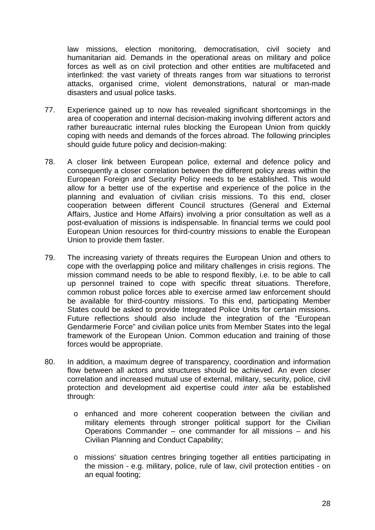law missions, election monitoring, democratisation, civil society and humanitarian aid. Demands in the operational areas on military and police forces as well as on civil protection and other entities are multifaceted and interlinked: the vast variety of threats ranges from war situations to terrorist attacks, organised crime, violent demonstrations, natural or man-made disasters and usual police tasks.

- 77. Experience gained up to now has revealed significant shortcomings in the area of cooperation and internal decision-making involving different actors and rather bureaucratic internal rules blocking the European Union from quickly coping with needs and demands of the forces abroad. The following principles should guide future policy and decision-making:
- 78. A closer link between European police, external and defence policy and consequently a closer correlation between the different policy areas within the European Foreign and Security Policy needs to be established. This would allow for a better use of the expertise and experience of the police in the planning and evaluation of civilian crisis missions. To this end, closer cooperation between different Council structures (General and External Affairs, Justice and Home Affairs) involving a prior consultation as well as a post-evaluation of missions is indispensable. In financial terms we could pool European Union resources for third-country missions to enable the European Union to provide them faster.
- 79. The increasing variety of threats requires the European Union and others to cope with the overlapping police and military challenges in crisis regions. The mission command needs to be able to respond flexibly, i.e. to be able to call up personnel trained to cope with specific threat situations. Therefore, common robust police forces able to exercise armed law enforcement should be available for third-country missions. To this end, participating Member States could be asked to provide Integrated Police Units for certain missions. Future reflections should also include the integration of the "European Gendarmerie Force" and civilian police units from Member States into the legal framework of the European Union. Common education and training of those forces would be appropriate.
- 80. In addition, a maximum degree of transparency, coordination and information flow between all actors and structures should be achieved. An even closer correlation and increased mutual use of external, military, security, police, civil protection and development aid expertise could *inter alia* be established through:
	- o enhanced and more coherent cooperation between the civilian and military elements through stronger political support for the Civilian Operations Commander – one commander for all missions – and his Civilian Planning and Conduct Capability;
	- o missions' situation centres bringing together all entities participating in the mission - e.g. military, police, rule of law, civil protection entities - on an equal footing;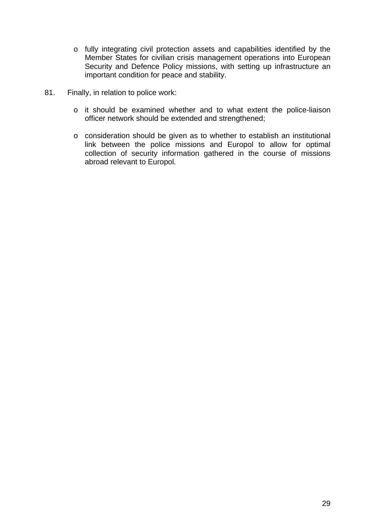- o fully integrating civil protection assets and capabilities identified by the Member States for civilian crisis management operations into European Security and Defence Policy missions, with setting up infrastructure an important condition for peace and stability.
- 81. Finally, in relation to police work:
	- o it should be examined whether and to what extent the police-liaison officer network should be extended and strengthened;
	- o consideration should be given as to whether to establish an institutional link between the police missions and Europol to allow for optimal collection of security information gathered in the course of missions abroad relevant to Europol.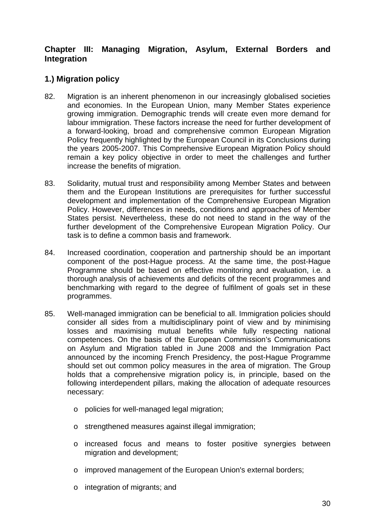# **Chapter III: Managing Migration, Asylum, External Borders and Integration**

# **1.) Migration policy**

- 82. Migration is an inherent phenomenon in our increasingly globalised societies and economies. In the European Union, many Member States experience growing immigration. Demographic trends will create even more demand for labour immigration. These factors increase the need for further development of a forward-looking, broad and comprehensive common European Migration Policy frequently highlighted by the European Council in its Conclusions during the years 2005-2007. This Comprehensive European Migration Policy should remain a key policy objective in order to meet the challenges and further increase the benefits of migration.
- 83. Solidarity, mutual trust and responsibility among Member States and between them and the European Institutions are prerequisites for further successful development and implementation of the Comprehensive European Migration Policy. However, differences in needs, conditions and approaches of Member States persist. Nevertheless, these do not need to stand in the way of the further development of the Comprehensive European Migration Policy. Our task is to define a common basis and framework.
- 84. Increased coordination, cooperation and partnership should be an important component of the post-Hague process. At the same time, the post-Hague Programme should be based on effective monitoring and evaluation, i.e. a thorough analysis of achievements and deficits of the recent programmes and benchmarking with regard to the degree of fulfilment of goals set in these programmes.
- 85. Well-managed immigration can be beneficial to all. Immigration policies should consider all sides from a multidisciplinary point of view and by minimising losses and maximising mutual benefits while fully respecting national competences. On the basis of the European Commission's Communications on Asylum and Migration tabled in June 2008 and the Immigration Pact announced by the incoming French Presidency, the post-Hague Programme should set out common policy measures in the area of migration. The Group holds that a comprehensive migration policy is, in principle, based on the following interdependent pillars, making the allocation of adequate resources necessary:
	- o policies for well-managed legal migration;
	- o strengthened measures against illegal immigration;
	- o increased focus and means to foster positive synergies between migration and development;
	- o improved management of the European Union's external borders;
	- o integration of migrants; and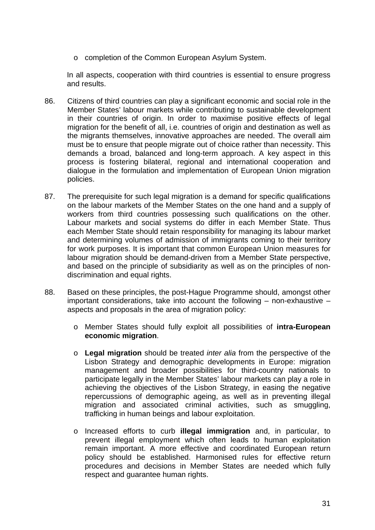o completion of the Common European Asylum System.

In all aspects, cooperation with third countries is essential to ensure progress and results.

- 86. Citizens of third countries can play a significant economic and social role in the Member States' labour markets while contributing to sustainable development in their countries of origin. In order to maximise positive effects of legal migration for the benefit of all, i.e. countries of origin and destination as well as the migrants themselves, innovative approaches are needed. The overall aim must be to ensure that people migrate out of choice rather than necessity. This demands a broad, balanced and long-term approach. A key aspect in this process is fostering bilateral, regional and international cooperation and dialogue in the formulation and implementation of European Union migration policies.
- 87. The prerequisite for such legal migration is a demand for specific qualifications on the labour markets of the Member States on the one hand and a supply of workers from third countries possessing such qualifications on the other. Labour markets and social systems do differ in each Member State. Thus each Member State should retain responsibility for managing its labour market and determining volumes of admission of immigrants coming to their territory for work purposes. It is important that common European Union measures for labour migration should be demand-driven from a Member State perspective, and based on the principle of subsidiarity as well as on the principles of nondiscrimination and equal rights.
- 88. Based on these principles, the post-Hague Programme should, amongst other important considerations, take into account the following – non-exhaustive – aspects and proposals in the area of migration policy:
	- o Member States should fully exploit all possibilities of **intra-European economic migration**.
	- o **Legal migration** should be treated *inter alia* from the perspective of the Lisbon Strategy and demographic developments in Europe: migration management and broader possibilities for third-country nationals to participate legally in the Member States' labour markets can play a role in achieving the objectives of the Lisbon Strategy, in easing the negative repercussions of demographic ageing, as well as in preventing illegal migration and associated criminal activities, such as smuggling, trafficking in human beings and labour exploitation.
	- o Increased efforts to curb **illegal immigration** and, in particular, to prevent illegal employment which often leads to human exploitation remain important. A more effective and coordinated European return policy should be established. Harmonised rules for effective return procedures and decisions in Member States are needed which fully respect and guarantee human rights.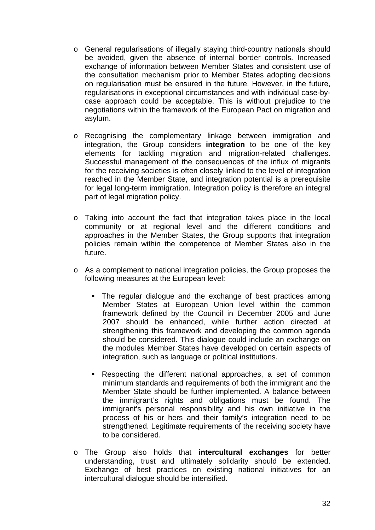- o General regularisations of illegally staying third-country nationals should be avoided, given the absence of internal border controls. Increased exchange of information between Member States and consistent use of the consultation mechanism prior to Member States adopting decisions on regularisation must be ensured in the future. However, in the future, regularisations in exceptional circumstances and with individual case-bycase approach could be acceptable. This is without prejudice to the negotiations within the framework of the European Pact on migration and asylum.
- o Recognising the complementary linkage between immigration and integration, the Group considers **integration** to be one of the key elements for tackling migration and migration-related challenges. Successful management of the consequences of the influx of migrants for the receiving societies is often closely linked to the level of integration reached in the Member State, and integration potential is a prerequisite for legal long-term immigration. Integration policy is therefore an integral part of legal migration policy.
- o Taking into account the fact that integration takes place in the local community or at regional level and the different conditions and approaches in the Member States, the Group supports that integration policies remain within the competence of Member States also in the future.
- o As a complement to national integration policies, the Group proposes the following measures at the European level:
	- The regular dialogue and the exchange of best practices among Member States at European Union level within the common framework defined by the Council in December 2005 and June 2007 should be enhanced, while further action directed at strengthening this framework and developing the common agenda should be considered. This dialogue could include an exchange on the modules Member States have developed on certain aspects of integration, such as language or political institutions.
	- Respecting the different national approaches, a set of common minimum standards and requirements of both the immigrant and the Member State should be further implemented. A balance between the immigrant's rights and obligations must be found. The immigrant's personal responsibility and his own initiative in the process of his or hers and their family's integration need to be strengthened. Legitimate requirements of the receiving society have to be considered.
- o The Group also holds that **intercultural exchanges** for better understanding, trust and ultimately solidarity should be extended. Exchange of best practices on existing national initiatives for an intercultural dialogue should be intensified.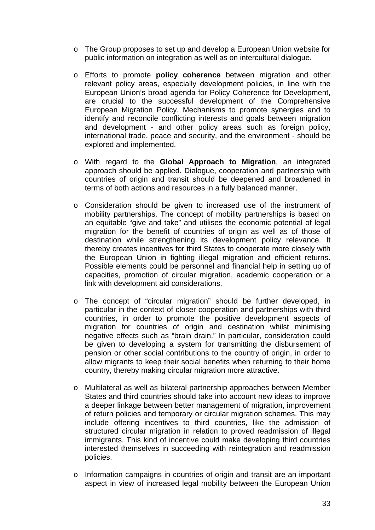- o The Group proposes to set up and develop a European Union website for public information on integration as well as on intercultural dialogue.
- o Efforts to promote **policy coherence** between migration and other relevant policy areas, especially development policies, in line with the European Union's broad agenda for Policy Coherence for Development, are crucial to the successful development of the Comprehensive European Migration Policy. Mechanisms to promote synergies and to identify and reconcile conflicting interests and goals between migration and development - and other policy areas such as foreign policy, international trade, peace and security, and the environment - should be explored and implemented.
- o With regard to the **Global Approach to Migration**, an integrated approach should be applied. Dialogue, cooperation and partnership with countries of origin and transit should be deepened and broadened in terms of both actions and resources in a fully balanced manner.
- o Consideration should be given to increased use of the instrument of mobility partnerships. The concept of mobility partnerships is based on an equitable "give and take" and utilises the economic potential of legal migration for the benefit of countries of origin as well as of those of destination while strengthening its development policy relevance. It thereby creates incentives for third States to cooperate more closely with the European Union in fighting illegal migration and efficient returns. Possible elements could be personnel and financial help in setting up of capacities, promotion of circular migration, academic cooperation or a link with development aid considerations.
- o The concept of "circular migration" should be further developed, in particular in the context of closer cooperation and partnerships with third countries, in order to promote the positive development aspects of migration for countries of origin and destination whilst minimising negative effects such as "brain drain." In particular, consideration could be given to developing a system for transmitting the disbursement of pension or other social contributions to the country of origin, in order to allow migrants to keep their social benefits when returning to their home country, thereby making circular migration more attractive.
- o Multilateral as well as bilateral partnership approaches between Member States and third countries should take into account new ideas to improve a deeper linkage between better management of migration, improvement of return policies and temporary or circular migration schemes. This may include offering incentives to third countries, like the admission of structured circular migration in relation to proved readmission of illegal immigrants. This kind of incentive could make developing third countries interested themselves in succeeding with reintegration and readmission policies.
- o Information campaigns in countries of origin and transit are an important aspect in view of increased legal mobility between the European Union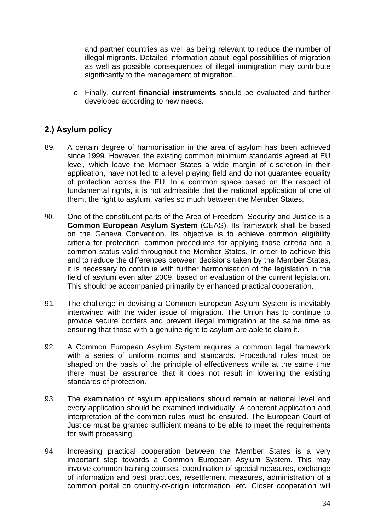and partner countries as well as being relevant to reduce the number of illegal migrants. Detailed information about legal possibilities of migration as well as possible consequences of illegal immigration may contribute significantly to the management of migration.

o Finally, current **financial instruments** should be evaluated and further developed according to new needs.

# **2.) Asylum policy**

- 89. A certain degree of harmonisation in the area of asylum has been achieved since 1999. However, the existing common minimum standards agreed at EU level, which leave the Member States a wide margin of discretion in their application, have not led to a level playing field and do not guarantee equality of protection across the EU. In a common space based on the respect of fundamental rights, it is not admissible that the national application of one of them, the right to asylum, varies so much between the Member States.
- 90. One of the constituent parts of the Area of Freedom, Security and Justice is a **Common European Asylum System** (CEAS). Its framework shall be based on the Geneva Convention. Its objective is to achieve common eligibility criteria for protection, common procedures for applying those criteria and a common status valid throughout the Member States. In order to achieve this and to reduce the differences between decisions taken by the Member States, it is necessary to continue with further harmonisation of the legislation in the field of asylum even after 2009, based on evaluation of the current legislation. This should be accompanied primarily by enhanced practical cooperation.
- 91. The challenge in devising a Common European Asylum System is inevitably intertwined with the wider issue of migration. The Union has to continue to provide secure borders and prevent illegal immigration at the same time as ensuring that those with a genuine right to asylum are able to claim it.
- 92. A Common European Asylum System requires a common legal framework with a series of uniform norms and standards. Procedural rules must be shaped on the basis of the principle of effectiveness while at the same time there must be assurance that it does not result in lowering the existing standards of protection.
- 93. The examination of asylum applications should remain at national level and every application should be examined individually. A coherent application and interpretation of the common rules must be ensured. The European Court of Justice must be granted sufficient means to be able to meet the requirements for swift processing.
- 94. Increasing practical cooperation between the Member States is a very important step towards a Common European Asylum System. This may involve common training courses, coordination of special measures, exchange of information and best practices, resettlement measures, administration of a common portal on country-of-origin information, etc. Closer cooperation will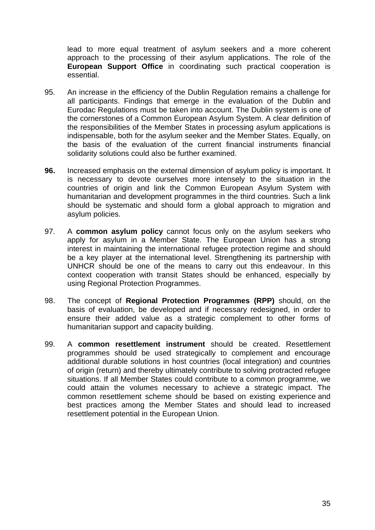lead to more equal treatment of asylum seekers and a more coherent approach to the processing of their asylum applications. The role of the **European Support Office** in coordinating such practical cooperation is essential.

- 95. An increase in the efficiency of the Dublin Regulation remains a challenge for all participants. Findings that emerge in the evaluation of the Dublin and Eurodac Regulations must be taken into account. The Dublin system is one of the cornerstones of a Common European Asylum System. A clear definition of the responsibilities of the Member States in processing asylum applications is indispensable, both for the asylum seeker and the Member States. Equally, on the basis of the evaluation of the current financial instruments financial solidarity solutions could also be further examined.
- **96.** Increased emphasis on the external dimension of asylum policy is important. It is necessary to devote ourselves more intensely to the situation in the countries of origin and link the Common European Asylum System with humanitarian and development programmes in the third countries. Such a link should be systematic and should form a global approach to migration and asylum policies.
- 97. A **common asylum policy** cannot focus only on the asylum seekers who apply for asylum in a Member State. The European Union has a strong interest in maintaining the international refugee protection regime and should be a key player at the international level. Strengthening its partnership with UNHCR should be one of the means to carry out this endeavour. In this context cooperation with transit States should be enhanced, especially by using Regional Protection Programmes.
- 98. The concept of **Regional Protection Programmes (RPP)** should, on the basis of evaluation, be developed and if necessary redesigned, in order to ensure their added value as a strategic complement to other forms of humanitarian support and capacity building.
- 99. A **common resettlement instrument** should be created. Resettlement programmes should be used strategically to complement and encourage additional durable solutions in host countries (local integration) and countries of origin (return) and thereby ultimately contribute to solving protracted refugee situations. If all Member States could contribute to a common programme, we could attain the volumes necessary to achieve a strategic impact. The common resettlement scheme should be based on existing experience and best practices among the Member States and should lead to increased resettlement potential in the European Union.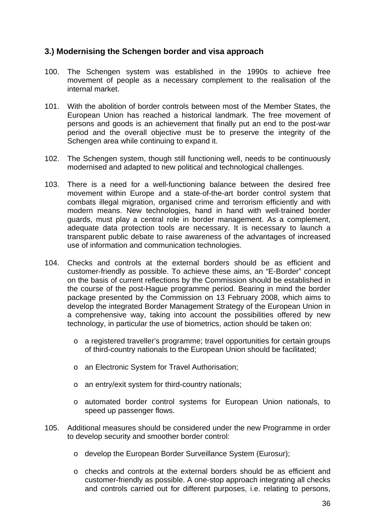# **3.) Modernising the Schengen border and visa approach**

- 100. The Schengen system was established in the 1990s to achieve free movement of people as a necessary complement to the realisation of the internal market.
- 101. With the abolition of border controls between most of the Member States, the European Union has reached a historical landmark. The free movement of persons and goods is an achievement that finally put an end to the post-war period and the overall objective must be to preserve the integrity of the Schengen area while continuing to expand it.
- 102. The Schengen system, though still functioning well, needs to be continuously modernised and adapted to new political and technological challenges.
- 103. There is a need for a well-functioning balance between the desired free movement within Europe and a state-of-the-art border control system that combats illegal migration, organised crime and terrorism efficiently and with modern means. New technologies, hand in hand with well-trained border guards, must play a central role in border management. As a complement, adequate data protection tools are necessary. It is necessary to launch a transparent public debate to raise awareness of the advantages of increased use of information and communication technologies.
- 104. Checks and controls at the external borders should be as efficient and customer-friendly as possible. To achieve these aims, an "E-Border" concept on the basis of current reflections by the Commission should be established in the course of the post-Hague programme period. Bearing in mind the border package presented by the Commission on 13 February 2008, which aims to develop the integrated Border Management Strategy of the European Union in a comprehensive way, taking into account the possibilities offered by new technology, in particular the use of biometrics, action should be taken on:
	- o a registered traveller's programme; travel opportunities for certain groups of third-country nationals to the European Union should be facilitated;
	- o an Electronic System for Travel Authorisation;
	- o an entry/exit system for third-country nationals;
	- o automated border control systems for European Union nationals, to speed up passenger flows.
- 105. Additional measures should be considered under the new Programme in order to develop security and smoother border control:
	- o develop the European Border Surveillance System (Eurosur);
	- o checks and controls at the external borders should be as efficient and customer-friendly as possible. A one-stop approach integrating all checks and controls carried out for different purposes, i.e. relating to persons,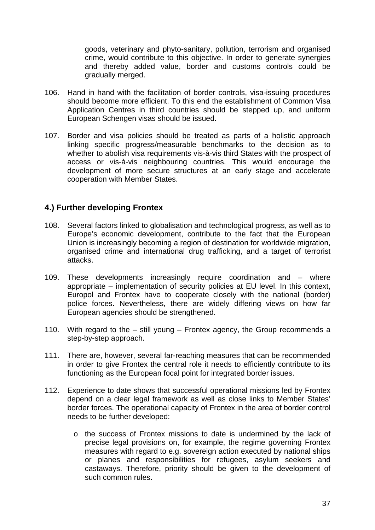goods, veterinary and phyto-sanitary, pollution, terrorism and organised crime, would contribute to this objective. In order to generate synergies and thereby added value, border and customs controls could be gradually merged.

- 106. Hand in hand with the facilitation of border controls, visa-issuing procedures should become more efficient. To this end the establishment of Common Visa Application Centres in third countries should be stepped up, and uniform European Schengen visas should be issued.
- 107. Border and visa policies should be treated as parts of a holistic approach linking specific progress/measurable benchmarks to the decision as to whether to abolish visa requirements vis-à-vis third States with the prospect of access or vis-à-vis neighbouring countries. This would encourage the development of more secure structures at an early stage and accelerate cooperation with Member States.

# **4.) Further developing Frontex**

- 108. Several factors linked to globalisation and technological progress, as well as to Europe's economic development, contribute to the fact that the European Union is increasingly becoming a region of destination for worldwide migration, organised crime and international drug trafficking, and a target of terrorist attacks.
- 109. These developments increasingly require coordination and where appropriate – implementation of security policies at EU level. In this context, Europol and Frontex have to cooperate closely with the national (border) police forces. Nevertheless, there are widely differing views on how far European agencies should be strengthened.
- 110. With regard to the still young Frontex agency, the Group recommends a step-by-step approach.
- 111. There are, however, several far-reaching measures that can be recommended in order to give Frontex the central role it needs to efficiently contribute to its functioning as the European focal point for integrated border issues.
- 112. Experience to date shows that successful operational missions led by Frontex depend on a clear legal framework as well as close links to Member States' border forces. The operational capacity of Frontex in the area of border control needs to be further developed:
	- o the success of Frontex missions to date is undermined by the lack of precise legal provisions on, for example, the regime governing Frontex measures with regard to e.g. sovereign action executed by national ships or planes and responsibilities for refugees, asylum seekers and castaways. Therefore, priority should be given to the development of such common rules.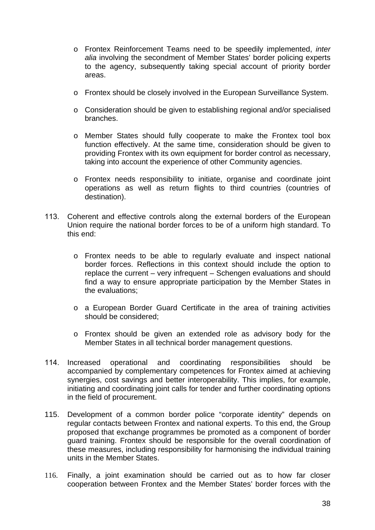- o Frontex Reinforcement Teams need to be speedily implemented, *inter alia* involving the secondment of Member States' border policing experts to the agency, subsequently taking special account of priority border areas.
- o Frontex should be closely involved in the European Surveillance System.
- o Consideration should be given to establishing regional and/or specialised branches.
- o Member States should fully cooperate to make the Frontex tool box function effectively. At the same time, consideration should be given to providing Frontex with its own equipment for border control as necessary, taking into account the experience of other Community agencies.
- o Frontex needs responsibility to initiate, organise and coordinate joint operations as well as return flights to third countries (countries of destination).
- 113. Coherent and effective controls along the external borders of the European Union require the national border forces to be of a uniform high standard. To this end:
	- o Frontex needs to be able to regularly evaluate and inspect national border forces. Reflections in this context should include the option to replace the current – very infrequent – Schengen evaluations and should find a way to ensure appropriate participation by the Member States in the evaluations;
	- o a European Border Guard Certificate in the area of training activities should be considered;
	- o Frontex should be given an extended role as advisory body for the Member States in all technical border management questions.
- 114. Increased operational and coordinating responsibilities should be accompanied by complementary competences for Frontex aimed at achieving synergies, cost savings and better interoperability. This implies, for example, initiating and coordinating joint calls for tender and further coordinating options in the field of procurement.
- 115. Development of a common border police "corporate identity" depends on regular contacts between Frontex and national experts. To this end, the Group proposed that exchange programmes be promoted as a component of border guard training. Frontex should be responsible for the overall coordination of these measures, including responsibility for harmonising the individual training units in the Member States.
- 116. Finally, a joint examination should be carried out as to how far closer cooperation between Frontex and the Member States' border forces with the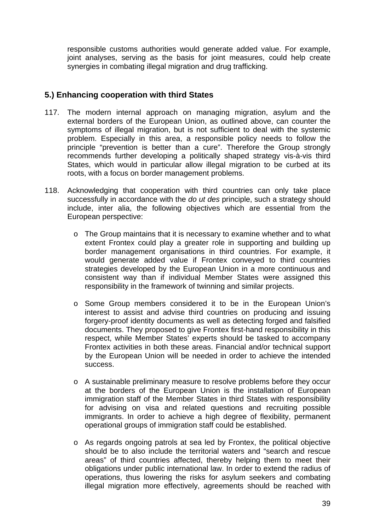responsible customs authorities would generate added value. For example, joint analyses, serving as the basis for joint measures, could help create synergies in combating illegal migration and drug trafficking.

# **5.) Enhancing cooperation with third States**

- 117. The modern internal approach on managing migration, asylum and the external borders of the European Union, as outlined above, can counter the symptoms of illegal migration, but is not sufficient to deal with the systemic problem. Especially in this area, a responsible policy needs to follow the principle "prevention is better than a cure". Therefore the Group strongly recommends further developing a politically shaped strategy vis-à-vis third States, which would in particular allow illegal migration to be curbed at its roots, with a focus on border management problems.
- 118. Acknowledging that cooperation with third countries can only take place successfully in accordance with the *do ut des* principle, such a strategy should include, inter alia, the following objectives which are essential from the European perspective:
	- o The Group maintains that it is necessary to examine whether and to what extent Frontex could play a greater role in supporting and building up border management organisations in third countries. For example, it would generate added value if Frontex conveyed to third countries strategies developed by the European Union in a more continuous and consistent way than if individual Member States were assigned this responsibility in the framework of twinning and similar projects.
	- o Some Group members considered it to be in the European Union's interest to assist and advise third countries on producing and issuing forgery-proof identity documents as well as detecting forged and falsified documents. They proposed to give Frontex first-hand responsibility in this respect, while Member States' experts should be tasked to accompany Frontex activities in both these areas. Financial and/or technical support by the European Union will be needed in order to achieve the intended success.
	- o A sustainable preliminary measure to resolve problems before they occur at the borders of the European Union is the installation of European immigration staff of the Member States in third States with responsibility for advising on visa and related questions and recruiting possible immigrants. In order to achieve a high degree of flexibility, permanent operational groups of immigration staff could be established.
	- o As regards ongoing patrols at sea led by Frontex, the political objective should be to also include the territorial waters and "search and rescue areas" of third countries affected, thereby helping them to meet their obligations under public international law. In order to extend the radius of operations, thus lowering the risks for asylum seekers and combating illegal migration more effectively, agreements should be reached with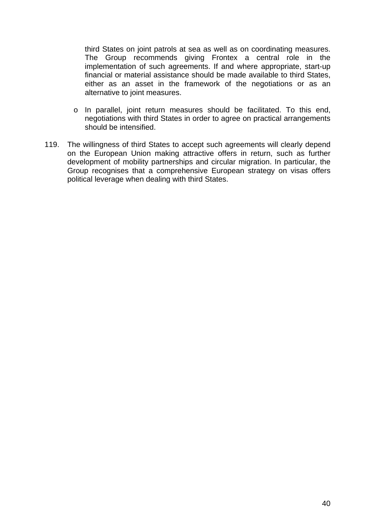third States on joint patrols at sea as well as on coordinating measures. The Group recommends giving Frontex a central role in the implementation of such agreements. If and where appropriate, start-up financial or material assistance should be made available to third States, either as an asset in the framework of the negotiations or as an alternative to joint measures.

- o In parallel, joint return measures should be facilitated. To this end, negotiations with third States in order to agree on practical arrangements should be intensified.
- 119. The willingness of third States to accept such agreements will clearly depend on the European Union making attractive offers in return, such as further development of mobility partnerships and circular migration. In particular, the Group recognises that a comprehensive European strategy on visas offers political leverage when dealing with third States.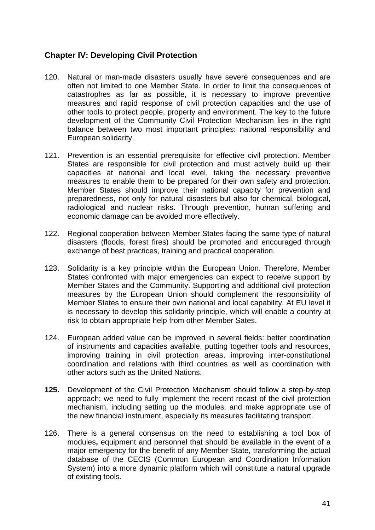# **Chapter IV: Developing Civil Protection**

- 120. Natural or man-made disasters usually have severe consequences and are often not limited to one Member State. In order to limit the consequences of catastrophes as far as possible, it is necessary to improve preventive measures and rapid response of civil protection capacities and the use of other tools to protect people, property and environment. The key to the future development of the Community Civil Protection Mechanism lies in the right balance between two most important principles: national responsibility and European solidarity.
- 121. Prevention is an essential prerequisite for effective civil protection. Member States are responsible for civil protection and must actively build up their capacities at national and local level, taking the necessary preventive measures to enable them to be prepared for their own safety and protection. Member States should improve their national capacity for prevention and preparedness, not only for natural disasters but also for chemical, biological, radiological and nuclear risks. Through prevention, human suffering and economic damage can be avoided more effectively.
- 122. Regional cooperation between Member States facing the same type of natural disasters (floods, forest fires) should be promoted and encouraged through exchange of best practices, training and practical cooperation.
- 123. Solidarity is a key principle within the European Union. Therefore, Member States confronted with major emergencies can expect to receive support by Member States and the Community. Supporting and additional civil protection measures by the European Union should complement the responsibility of Member States to ensure their own national and local capability. At EU level it is necessary to develop this solidarity principle, which will enable a country at risk to obtain appropriate help from other Member Sates.
- 124. European added value can be improved in several fields: better coordination of instruments and capacities available, putting together tools and resources, improving training in civil protection areas, improving inter-constitutional coordination and relations with third countries as well as coordination with other actors such as the United Nations.
- **125.** Development of the Civil Protection Mechanism should follow a step-by-step approach; we need to fully implement the recent recast of the civil protection mechanism, including setting up the modules, and make appropriate use of the new financial instrument, especially its measures facilitating transport.
- 126. There is a general consensus on the need to establishing a tool box of modules**,** equipment and personnel that should be available in the event of a major emergency for the benefit of any Member State, transforming the actual database of the CECIS (Common European and Coordination Information System) into a more dynamic platform which will constitute a natural upgrade of existing tools.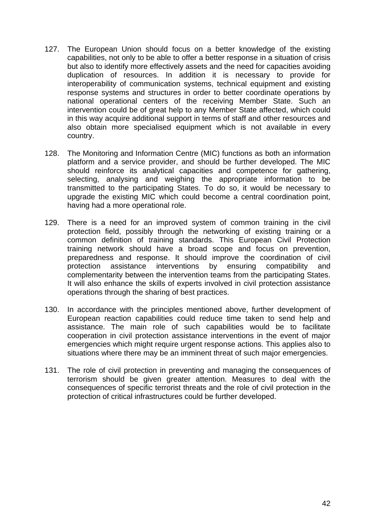- 127. The European Union should focus on a better knowledge of the existing capabilities, not only to be able to offer a better response in a situation of crisis but also to identify more effectively assets and the need for capacities avoiding duplication of resources. In addition it is necessary to provide for interoperability of communication systems, technical equipment and existing response systems and structures in order to better coordinate operations by national operational centers of the receiving Member State. Such an intervention could be of great help to any Member State affected, which could in this way acquire additional support in terms of staff and other resources and also obtain more specialised equipment which is not available in every country.
- 128. The Monitoring and Information Centre (MIC) functions as both an information platform and a service provider, and should be further developed. The MIC should reinforce its analytical capacities and competence for gathering, selecting, analysing and weighing the appropriate information to be transmitted to the participating States. To do so, it would be necessary to upgrade the existing MIC which could become a central coordination point, having had a more operational role.
- 129. There is a need for an improved system of common training in the civil protection field, possibly through the networking of existing training or a common definition of training standards. This European Civil Protection training network should have a broad scope and focus on prevention, preparedness and response. It should improve the coordination of civil protection assistance interventions by ensuring compatibility and complementarity between the intervention teams from the participating States. It will also enhance the skills of experts involved in civil protection assistance operations through the sharing of best practices.
- 130. In accordance with the principles mentioned above, further development of European reaction capabilities could reduce time taken to send help and assistance. The main role of such capabilities would be to facilitate cooperation in civil protection assistance interventions in the event of major emergencies which might require urgent response actions. This applies also to situations where there may be an imminent threat of such major emergencies.
- 131. The role of civil protection in preventing and managing the consequences of terrorism should be given greater attention. Measures to deal with the consequences of specific terrorist threats and the role of civil protection in the protection of critical infrastructures could be further developed.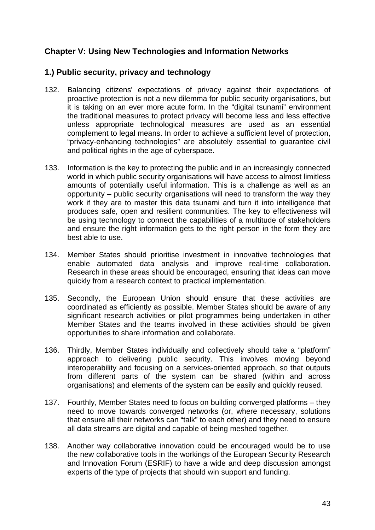# **Chapter V: Using New Technologies and Information Networks**

# **1.) Public security, privacy and technology**

- 132. Balancing citizens' expectations of privacy against their expectations of proactive protection is not a new dilemma for public security organisations, but it is taking on an ever more acute form. In the "digital tsunami" environment the traditional measures to protect privacy will become less and less effective unless appropriate technological measures are used as an essential complement to legal means. In order to achieve a sufficient level of protection, "privacy-enhancing technologies" are absolutely essential to guarantee civil and political rights in the age of cyberspace.
- 133. Information is the key to protecting the public and in an increasingly connected world in which public security organisations will have access to almost limitless amounts of potentially useful information. This is a challenge as well as an opportunity – public security organisations will need to transform the way they work if they are to master this data tsunami and turn it into intelligence that produces safe, open and resilient communities. The key to effectiveness will be using technology to connect the capabilities of a multitude of stakeholders and ensure the right information gets to the right person in the form they are best able to use.
- 134. Member States should prioritise investment in innovative technologies that enable automated data analysis and improve real-time collaboration. Research in these areas should be encouraged, ensuring that ideas can move quickly from a research context to practical implementation.
- 135. Secondly, the European Union should ensure that these activities are coordinated as efficiently as possible. Member States should be aware of any significant research activities or pilot programmes being undertaken in other Member States and the teams involved in these activities should be given opportunities to share information and collaborate.
- 136. Thirdly, Member States individually and collectively should take a "platform" approach to delivering public security. This involves moving beyond interoperability and focusing on a services-oriented approach, so that outputs from different parts of the system can be shared (within and across organisations) and elements of the system can be easily and quickly reused.
- 137. Fourthly, Member States need to focus on building converged platforms they need to move towards converged networks (or, where necessary, solutions that ensure all their networks can "talk" to each other) and they need to ensure all data streams are digital and capable of being meshed together.
- 138. Another way collaborative innovation could be encouraged would be to use the new collaborative tools in the workings of the European Security Research and Innovation Forum (ESRIF) to have a wide and deep discussion amongst experts of the type of projects that should win support and funding.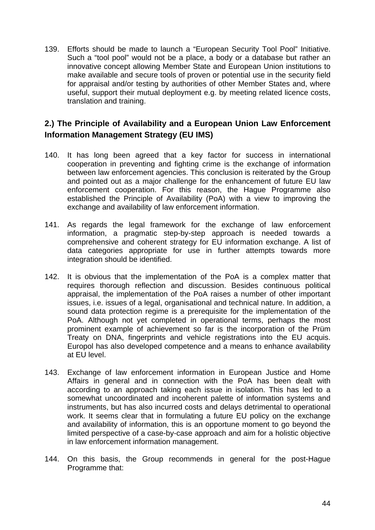139. Efforts should be made to launch a "European Security Tool Pool" Initiative. Such a "tool pool" would not be a place, a body or a database but rather an innovative concept allowing Member State and European Union institutions to make available and secure tools of proven or potential use in the security field for appraisal and/or testing by authorities of other Member States and, where useful, support their mutual deployment e.g. by meeting related licence costs, translation and training.

# **2.) The Principle of Availability and a European Union Law Enforcement Information Management Strategy (EU IMS)**

- 140. It has long been agreed that a key factor for success in international cooperation in preventing and fighting crime is the exchange of information between law enforcement agencies. This conclusion is reiterated by the Group and pointed out as a major challenge for the enhancement of future EU law enforcement cooperation. For this reason, the Hague Programme also established the Principle of Availability (PoA) with a view to improving the exchange and availability of law enforcement information.
- 141. As regards the legal framework for the exchange of law enforcement information, a pragmatic step-by-step approach is needed towards a comprehensive and coherent strategy for EU information exchange. A list of data categories appropriate for use in further attempts towards more integration should be identified.
- 142. It is obvious that the implementation of the PoA is a complex matter that requires thorough reflection and discussion. Besides continuous political appraisal, the implementation of the PoA raises a number of other important issues, i.e. issues of a legal, organisational and technical nature. In addition, a sound data protection regime is a prerequisite for the implementation of the PoA. Although not yet completed in operational terms, perhaps the most prominent example of achievement so far is the incorporation of the Prüm Treaty on DNA, fingerprints and vehicle registrations into the EU acquis. Europol has also developed competence and a means to enhance availability at EU level.
- 143. Exchange of law enforcement information in European Justice and Home Affairs in general and in connection with the PoA has been dealt with according to an approach taking each issue in isolation. This has led to a somewhat uncoordinated and incoherent palette of information systems and instruments, but has also incurred costs and delays detrimental to operational work. It seems clear that in formulating a future EU policy on the exchange and availability of information, this is an opportune moment to go beyond the limited perspective of a case-by-case approach and aim for a holistic objective in law enforcement information management.
- 144. On this basis, the Group recommends in general for the post-Hague Programme that: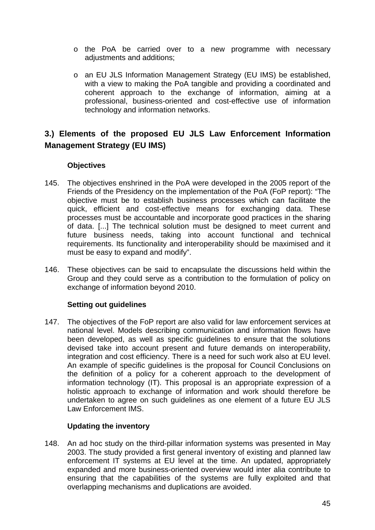- o the PoA be carried over to a new programme with necessary adjustments and additions;
- o an EU JLS Information Management Strategy (EU IMS) be established, with a view to making the PoA tangible and providing a coordinated and coherent approach to the exchange of information, aiming at a professional, business-oriented and cost-effective use of information technology and information networks.

# **3.) Elements of the proposed EU JLS Law Enforcement Information Management Strategy (EU IMS)**

## **Objectives**

- 145. The objectives enshrined in the PoA were developed in the 2005 report of the Friends of the Presidency on the implementation of the PoA (FoP report): "The objective must be to establish business processes which can facilitate the quick, efficient and cost-effective means for exchanging data. These processes must be accountable and incorporate good practices in the sharing of data. [...] The technical solution must be designed to meet current and future business needs, taking into account functional and technical requirements. Its functionality and interoperability should be maximised and it must be easy to expand and modify".
- 146. These objectives can be said to encapsulate the discussions held within the Group and they could serve as a contribution to the formulation of policy on exchange of information beyond 2010.

## **Setting out guidelines**

147. The objectives of the FoP report are also valid for law enforcement services at national level. Models describing communication and information flows have been developed, as well as specific guidelines to ensure that the solutions devised take into account present and future demands on interoperability, integration and cost efficiency. There is a need for such work also at EU level. An example of specific guidelines is the proposal for Council Conclusions on the definition of a policy for a coherent approach to the development of information technology (IT). This proposal is an appropriate expression of a holistic approach to exchange of information and work should therefore be undertaken to agree on such guidelines as one element of a future EU JLS Law Enforcement IMS.

## **Updating the inventory**

148. An ad hoc study on the third-pillar information systems was presented in May 2003. The study provided a first general inventory of existing and planned law enforcement IT systems at EU level at the time. An updated, appropriately expanded and more business-oriented overview would inter alia contribute to ensuring that the capabilities of the systems are fully exploited and that overlapping mechanisms and duplications are avoided.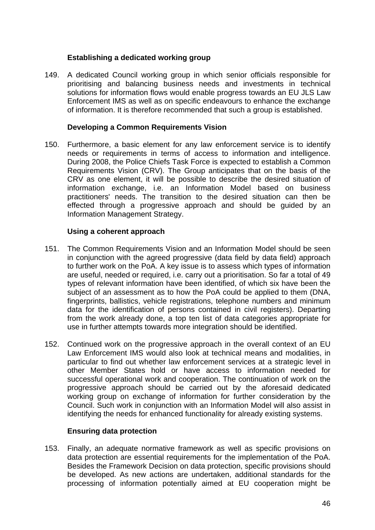#### **Establishing a dedicated working group**

149. A dedicated Council working group in which senior officials responsible for prioritising and balancing business needs and investments in technical solutions for information flows would enable progress towards an EU JLS Law Enforcement IMS as well as on specific endeavours to enhance the exchange of information. It is therefore recommended that such a group is established.

#### **Developing a Common Requirements Vision**

150. Furthermore, a basic element for any law enforcement service is to identify needs or requirements in terms of access to information and intelligence. During 2008, the Police Chiefs Task Force is expected to establish a Common Requirements Vision (CRV). The Group anticipates that on the basis of the CRV as one element, it will be possible to describe the desired situation of information exchange, i.e. an Information Model based on business practitioners' needs. The transition to the desired situation can then be effected through a progressive approach and should be guided by an Information Management Strategy.

#### **Using a coherent approach**

- 151. The Common Requirements Vision and an Information Model should be seen in conjunction with the agreed progressive (data field by data field) approach to further work on the PoA. A key issue is to assess which types of information are useful, needed or required, i.e. carry out a prioritisation. So far a total of 49 types of relevant information have been identified, of which six have been the subject of an assessment as to how the PoA could be applied to them (DNA, fingerprints, ballistics, vehicle registrations, telephone numbers and minimum data for the identification of persons contained in civil registers). Departing from the work already done, a top ten list of data categories appropriate for use in further attempts towards more integration should be identified.
- 152. Continued work on the progressive approach in the overall context of an EU Law Enforcement IMS would also look at technical means and modalities, in particular to find out whether law enforcement services at a strategic level in other Member States hold or have access to information needed for successful operational work and cooperation. The continuation of work on the progressive approach should be carried out by the aforesaid dedicated working group on exchange of information for further consideration by the Council. Such work in conjunction with an Information Model will also assist in identifying the needs for enhanced functionality for already existing systems.

#### **Ensuring data protection**

153. Finally, an adequate normative framework as well as specific provisions on data protection are essential requirements for the implementation of the PoA. Besides the Framework Decision on data protection, specific provisions should be developed. As new actions are undertaken, additional standards for the processing of information potentially aimed at EU cooperation might be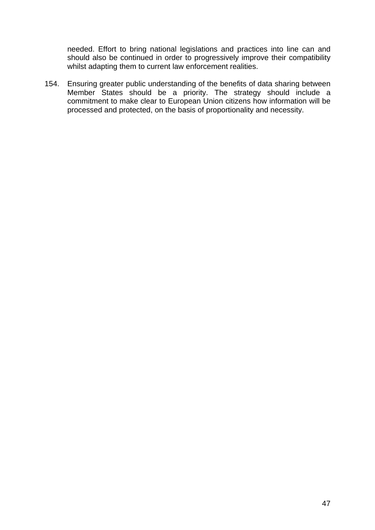needed. Effort to bring national legislations and practices into line can and should also be continued in order to progressively improve their compatibility whilst adapting them to current law enforcement realities.

154. Ensuring greater public understanding of the benefits of data sharing between Member States should be a priority. The strategy should include a commitment to make clear to European Union citizens how information will be processed and protected, on the basis of proportionality and necessity.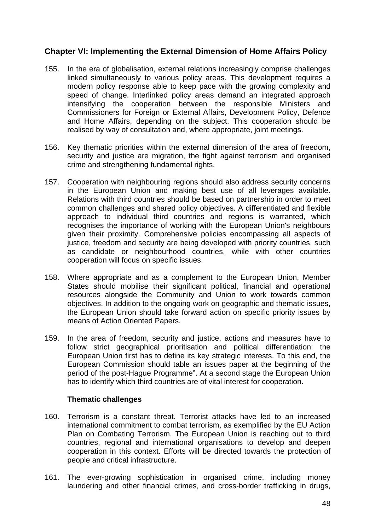# **Chapter VI: Implementing the External Dimension of Home Affairs Policy**

- 155. In the era of globalisation, external relations increasingly comprise challenges linked simultaneously to various policy areas. This development requires a modern policy response able to keep pace with the growing complexity and speed of change. Interlinked policy areas demand an integrated approach intensifying the cooperation between the responsible Ministers and Commissioners for Foreign or External Affairs, Development Policy, Defence and Home Affairs, depending on the subject. This cooperation should be realised by way of consultation and, where appropriate, joint meetings.
- 156. Key thematic priorities within the external dimension of the area of freedom, security and justice are migration, the fight against terrorism and organised crime and strengthening fundamental rights.
- 157. Cooperation with neighbouring regions should also address security concerns in the European Union and making best use of all leverages available. Relations with third countries should be based on partnership in order to meet common challenges and shared policy objectives. A differentiated and flexible approach to individual third countries and regions is warranted, which recognises the importance of working with the European Union's neighbours given their proximity. Comprehensive policies encompassing all aspects of justice, freedom and security are being developed with priority countries, such as candidate or neighbourhood countries, while with other countries cooperation will focus on specific issues.
- 158. Where appropriate and as a complement to the European Union, Member States should mobilise their significant political, financial and operational resources alongside the Community and Union to work towards common objectives. In addition to the ongoing work on geographic and thematic issues, the European Union should take forward action on specific priority issues by means of Action Oriented Papers.
- 159. In the area of freedom, security and justice, actions and measures have to follow strict geographical prioritisation and political differentiation: the European Union first has to define its key strategic interests. To this end, the European Commission should table an issues paper at the beginning of the period of the post-Hague Programme". At a second stage the European Union has to identify which third countries are of vital interest for cooperation.

#### **Thematic challenges**

- 160. Terrorism is a constant threat. Terrorist attacks have led to an increased international commitment to combat terrorism, as exemplified by the EU Action Plan on Combating Terrorism. The European Union is reaching out to third countries, regional and international organisations to develop and deepen cooperation in this context. Efforts will be directed towards the protection of people and critical infrastructure.
- 161. The ever-growing sophistication in organised crime, including money laundering and other financial crimes, and cross-border trafficking in drugs,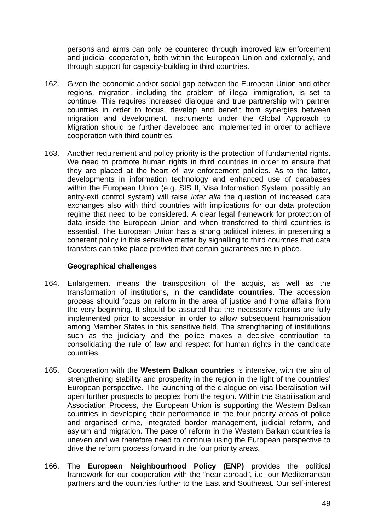persons and arms can only be countered through improved law enforcement and judicial cooperation, both within the European Union and externally, and through support for capacity-building in third countries.

- 162. Given the economic and/or social gap between the European Union and other regions, migration, including the problem of illegal immigration, is set to continue. This requires increased dialogue and true partnership with partner countries in order to focus, develop and benefit from synergies between migration and development. Instruments under the Global Approach to Migration should be further developed and implemented in order to achieve cooperation with third countries.
- 163. Another requirement and policy priority is the protection of fundamental rights. We need to promote human rights in third countries in order to ensure that they are placed at the heart of law enforcement policies. As to the latter, developments in information technology and enhanced use of databases within the European Union (e.g. SIS II, Visa Information System, possibly an entry-exit control system) will raise *inter alia* the question of increased data exchanges also with third countries with implications for our data protection regime that need to be considered. A clear legal framework for protection of data inside the European Union and when transferred to third countries is essential. The European Union has a strong political interest in presenting a coherent policy in this sensitive matter by signalling to third countries that data transfers can take place provided that certain guarantees are in place.

#### **Geographical challenges**

- 164. Enlargement means the transposition of the acquis, as well as the transformation of institutions, in the **candidate countries**. The accession process should focus on reform in the area of justice and home affairs from the very beginning. It should be assured that the necessary reforms are fully implemented prior to accession in order to allow subsequent harmonisation among Member States in this sensitive field. The strengthening of institutions such as the judiciary and the police makes a decisive contribution to consolidating the rule of law and respect for human rights in the candidate countries.
- 165. Cooperation with the **Western Balkan countries** is intensive, with the aim of strengthening stability and prosperity in the region in the light of the countries' European perspective. The launching of the dialogue on visa liberalisation will open further prospects to peoples from the region. Within the Stabilisation and Association Process, the European Union is supporting the Western Balkan countries in developing their performance in the four priority areas of police and organised crime, integrated border management, judicial reform, and asylum and migration. The pace of reform in the Western Balkan countries is uneven and we therefore need to continue using the European perspective to drive the reform process forward in the four priority areas.
- 166. The **European Neighbourhood Policy (ENP)** provides the political framework for our cooperation with the "near abroad", i.e. our Mediterranean partners and the countries further to the East and Southeast. Our self-interest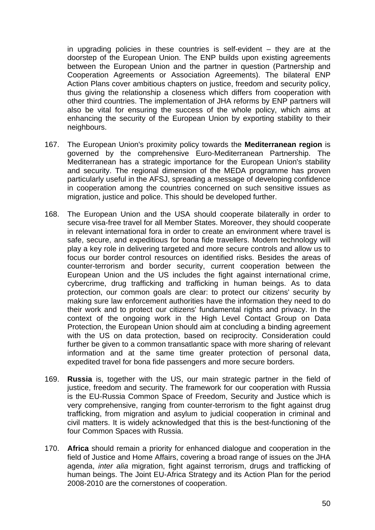in upgrading policies in these countries is self-evident – they are at the doorstep of the European Union. The ENP builds upon existing agreements between the European Union and the partner in question (Partnership and Cooperation Agreements or Association Agreements). The bilateral ENP Action Plans cover ambitious chapters on justice, freedom and security policy, thus giving the relationship a closeness which differs from cooperation with other third countries. The implementation of JHA reforms by ENP partners will also be vital for ensuring the success of the whole policy, which aims at enhancing the security of the European Union by exporting stability to their neighbours.

- 167. The European Union's proximity policy towards the **Mediterranean region** is governed by the comprehensive Euro-Mediterranean Partnership. The Mediterranean has a strategic importance for the European Union's stability and security. The regional dimension of the MEDA programme has proven particularly useful in the AFSJ, spreading a message of developing confidence in cooperation among the countries concerned on such sensitive issues as migration, justice and police. This should be developed further.
- 168. The European Union and the USA should cooperate bilaterally in order to secure visa-free travel for all Member States. Moreover, they should cooperate in relevant international fora in order to create an environment where travel is safe, secure, and expeditious for bona fide travellers. Modern technology will play a key role in delivering targeted and more secure controls and allow us to focus our border control resources on identified risks. Besides the areas of counter-terrorism and border security, current cooperation between the European Union and the US includes the fight against international crime, cybercrime, drug trafficking and trafficking in human beings. As to data protection, our common goals are clear: to protect our citizens' security by making sure law enforcement authorities have the information they need to do their work and to protect our citizens' fundamental rights and privacy. In the context of the ongoing work in the High Level Contact Group on Data Protection, the European Union should aim at concluding a binding agreement with the US on data protection, based on reciprocity. Consideration could further be given to a common transatlantic space with more sharing of relevant information and at the same time greater protection of personal data, expedited travel for bona fide passengers and more secure borders.
- 169. **Russia** is, together with the US, our main strategic partner in the field of justice, freedom and security. The framework for our cooperation with Russia is the EU-Russia Common Space of Freedom, Security and Justice which is very comprehensive, ranging from counter-terrorism to the fight against drug trafficking, from migration and asylum to judicial cooperation in criminal and civil matters. It is widely acknowledged that this is the best-functioning of the four Common Spaces with Russia.
- 170. **Africa** should remain a priority for enhanced dialogue and cooperation in the field of Justice and Home Affairs, covering a broad range of issues on the JHA agenda, *inter alia* migration, fight against terrorism, drugs and trafficking of human beings. The Joint EU-Africa Strategy and its Action Plan for the period 2008-2010 are the cornerstones of cooperation.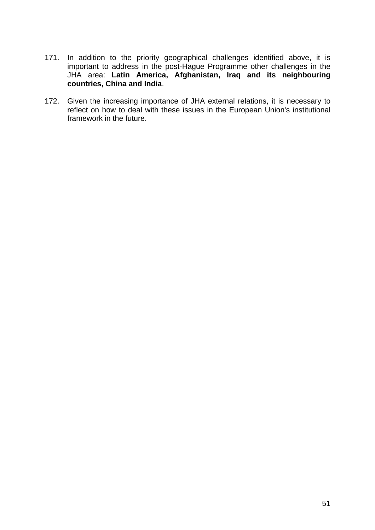- 171. In addition to the priority geographical challenges identified above, it is important to address in the post-Hague Programme other challenges in the JHA area: **Latin America, Afghanistan, Iraq and its neighbouring countries, China and India**.
- 172. Given the increasing importance of JHA external relations, it is necessary to reflect on how to deal with these issues in the European Union's institutional framework in the future.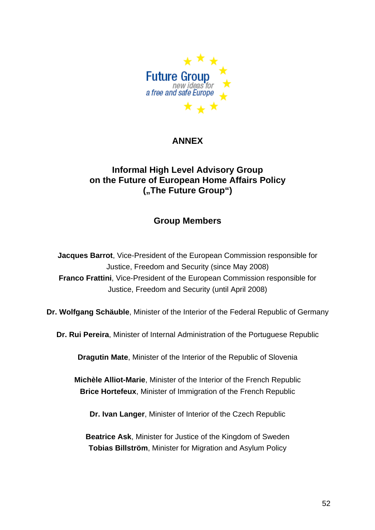

# **ANNEX**

# **Informal High Level Advisory Group on the Future of European Home Affairs Policy ("The Future Group")**

# **Group Members**

**Jacques Barrot**, Vice-President of the European Commission responsible for Justice, Freedom and Security (since May 2008) **Franco Frattini**, Vice-President of the European Commission responsible for Justice, Freedom and Security (until April 2008)

**Dr. Wolfgang Schäuble**, Minister of the Interior of the Federal Republic of Germany

**Dr. Rui Pereira**, Minister of Internal Administration of the Portuguese Republic

**Dragutin Mate**, Minister of the Interior of the Republic of Slovenia

**Michèle Alliot-Marie**, Minister of the Interior of the French Republic **Brice Hortefeux**, Minister of Immigration of the French Republic

**Dr. Ivan Langer**, Minister of Interior of the Czech Republic

**Beatrice Ask**, Minister for Justice of the Kingdom of Sweden **Tobias Billström**, Minister for Migration and Asylum Policy